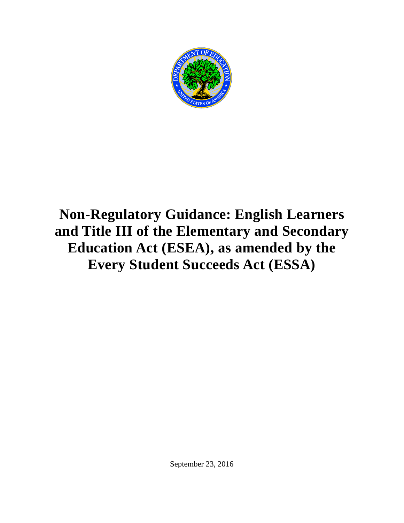

# **Non-Regulatory Guidance: English Learners and Title III of the Elementary and Secondary Education Act (ESEA), as amended by the Every Student Succeeds Act (ESSA)**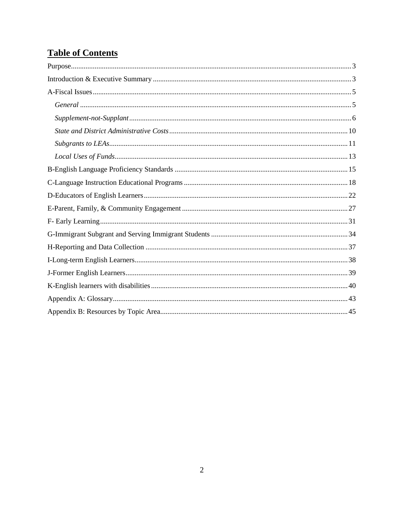# **Table of Contents**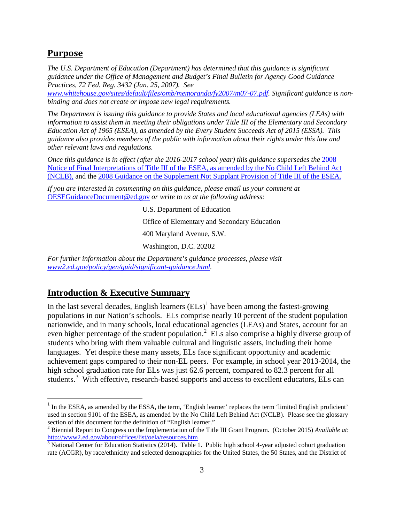# <span id="page-2-0"></span>**Purpose**

l

*The U.S. Department of Education (Department) has determined that this guidance is significant guidance under the Office of Management and Budget's Final Bulletin for Agency Good Guidance Practices, 72 Fed. Reg. 3432 (Jan. 25, 2007). See* 

*[www.whitehouse.gov/sites/default/files/omb/memoranda/fy2007/m07-07.pdf.](http://www.whitehouse.gov/sites/default/files/omb/memoranda/fy2007/m07-07.pdf) Significant guidance is nonbinding and does not create or impose new legal requirements.*

*The Department is issuing this guidance to provide States and local educational agencies (LEAs) with information to assist them in meeting their obligations under Title III of the Elementary and Secondary Education Act of 1965 (ESEA), as amended by the Every Student Succeeds Act of 2015 (ESSA). This guidance also provides members of the public with information about their rights under this law and other relevant laws and regulations.*

*Once this guidance is in effect (after the 2016-2017 school year) this guidance supersedes the 2008* [Notice of Final Interpretations of Title III of the ESEA, as amended by the No Child Left Behind Act](https://www.federalregister.gov/articles/2008/10/17/E8-24702/title-iii-of-the-elementary-and-secondary-education-act-of-1965-esea-as-amended-by-the-no-child-left)  [\(NCLB\),](https://www.federalregister.gov/articles/2008/10/17/E8-24702/title-iii-of-the-elementary-and-secondary-education-act-of-1965-esea-as-amended-by-the-no-child-left) and the [2008 Guidance on the Supplement Not Supplant Provision of Title III of the ESEA.](http://www2.ed.gov/programs/sfgp/supguide.pdf)

*If you are interested in commenting on this guidance, please email us your comment at*  [OESEGuidanceDocument@ed.gov](mailto:OESEGuidanceDocument@ed.gov) *or write to us at the following address:* 

U.S. Department of Education

Office of Elementary and Secondary Education

400 Maryland Avenue, S.W.

Washington, D.C. 20202

*For further information about the Department's guidance processes, please visit [www2.ed.gov/policy/gen/guid/significant-guidance.html.](http://www2.ed.gov/policy/gen/guid/significant-guidance.html)*

# <span id="page-2-1"></span>**Introduction & Executive Summary**

In the last several decades, English learners  $(ELs)^{1}$  $(ELs)^{1}$  $(ELs)^{1}$  have been among the fastest-growing populations in our Nation's schools. ELs comprise nearly 10 percent of the student population nationwide, and in many schools, local educational agencies (LEAs) and States, account for an even higher percentage of the student population.<sup>[2](#page-2-3)</sup> ELs also comprise a highly diverse group of students who bring with them valuable cultural and linguistic assets, including their home languages. Yet despite these many assets, ELs face significant opportunity and academic achievement gaps compared to their non-EL peers. For example, in school year 2013-2014, the high school graduation rate for ELs was just 62.6 percent, compared to 82.3 percent for all students.<sup>[3](#page-2-4)</sup> With effective, research-based supports and access to excellent educators, ELs can

<span id="page-2-2"></span> $<sup>1</sup>$  In the ESEA, as amended by the ESSA, the term, 'English learner' replaces the term 'limited English proficient'</sup> used in section 9101 of the ESEA, as amended by the No Child Left Behind Act (NCLB). Please see the glossary

<span id="page-2-3"></span>section of this document for the definition of "English learner."<br>
<sup>2</sup> Biennial Report to Congress on the Implementation of the Title III Grant Program. (October 2015) *Available at*:<br>
http://www2.ed.gov/about/offices/list

<span id="page-2-4"></span><sup>&</sup>lt;sup>3</sup> National Center for Education Statistics (2014). Table 1. Public high school 4-year adjusted cohort graduation rate (ACGR), by race/ethnicity and selected demographics for the United States, the 50 States, and the District of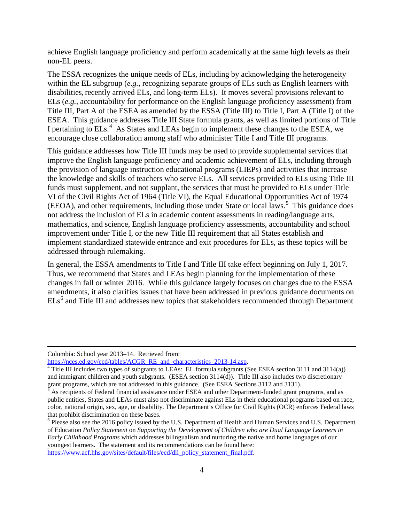achieve English language proficiency and perform academically at the same high levels as their non-EL peers.

The ESSA recognizes the unique needs of ELs, including by acknowledging the heterogeneity within the EL subgroup (*e.g.*, recognizing separate groups of ELs such as English learners with disabilities, recently arrived ELs, and long-term ELs). It moves several provisions relevant to ELs (*e.g.*, accountability for performance on the English language proficiency assessment) from Title III, Part A of the ESEA as amended by the ESSA (Title III) to Title I, Part A (Title I) of the ESEA. This guidance addresses Title III State formula grants, as well as limited portions of Title I pertaining to ELs.<sup>[4](#page-3-0)</sup> As States and LEAs begin to implement these changes to the ESEA, we encourage close collaboration among staff who administer Title I and Title III programs.

This guidance addresses how Title III funds may be used to provide supplemental services that improve the English language proficiency and academic achievement of ELs, including through the provision of language instruction educational programs (LIEPs) and activities that increase the knowledge and skills of teachers who serve ELs. All services provided to ELs using Title III funds must supplement, and not supplant, the services that must be provided to ELs under Title VI of the Civil Rights Act of 1964 (Title VI), the Equal Educational Opportunities Act of 1974 (EEOA), and other requirements, including those under State or local laws. [5](#page-3-1) This guidance does not address the inclusion of ELs in academic content assessments in reading/language arts, mathematics, and science, English language proficiency assessments, accountability and school improvement under Title I, or the new Title III requirement that all States establish and implement standardized statewide entrance and exit procedures for ELs, as these topics will be addressed through rulemaking.

In general, the ESSA amendments to Title I and Title III take effect beginning on July 1, 2017. Thus, we recommend that States and LEAs begin planning for the implementation of these changes in fall or winter 2016. While this guidance largely focuses on changes due to the ESSA amendments, it also clarifies issues that have been addressed in previous guidance documents on ELs<sup>[6](#page-3-2)</sup> and Title III and addresses new topics that stakeholders recommended through Department

 $\overline{\phantom{a}}$ 

Columbia: School year 2013–14. Retrieved from:<br>https://nces.ed.gov/ccd/tables/ACGR\_RE\_and\_characteristics\_2013-14.asp.

<span id="page-3-0"></span><sup>&</sup>lt;sup>4</sup> Title III includes two types of subgrants to LEAs: EL formula subgrants (See ESEA section 3111 and 3114(a)) and immigrant children and youth subgrants. (ESEA section 3114(d)). Title III also includes two discretionary grant programs, which are not addressed in this guidance. (See ESEA Sections 3112 and 3131).

<span id="page-3-1"></span> $5$  As recipients of Federal financial assistance under ESEA and other Department-funded grant programs, and as public entities, States and LEAs must also not discriminate against ELs in their educational programs based on race, color, national origin, sex, age, or disability. The Department's Office for Civil Rights (OCR) enforces Federal laws that prohibit discrimination on these bases.

<span id="page-3-2"></span><sup>6</sup> Please also see the 2016 policy issued by the U.S. Department of Health and Human Services and U.S. Department of Education *Policy Statement* on *Supporting the Development of Children who are Dual Language Learners in Early Childhood Programs* which addresses bilingualism and nurturing the native and home languages of our youngest learners. The statement and its recommendations can be found here: [https://www.acf.hhs.gov/sites/default/files/ecd/dll\\_policy\\_statement\\_final.pdf.](https://www.acf.hhs.gov/sites/default/files/ecd/dll_policy_statement_final.pdf)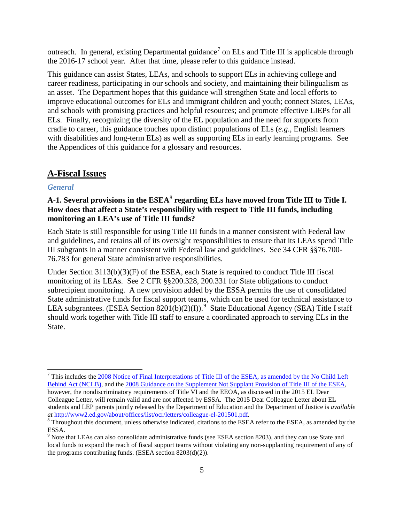outreach. In general, existing Departmental guidance<sup>[7](#page-4-2)</sup> on ELs and Title III is applicable through the 2016-17 school year. After that time, please refer to this guidance instead.

This guidance can assist States, LEAs, and schools to support ELs in achieving college and career readiness, participating in our schools and society, and maintaining their bilingualism as an asset. The Department hopes that this guidance will strengthen State and local efforts to improve educational outcomes for ELs and immigrant children and youth; connect States, LEAs, and schools with promising practices and helpful resources; and promote effective LIEPs for all ELs. Finally, recognizing the diversity of the EL population and the need for supports from cradle to career, this guidance touches upon distinct populations of ELs (*e.g*., English learners with disabilities and long-term ELs) as well as supporting ELs in early learning programs. See the Appendices of this guidance for a glossary and resources.

#### <span id="page-4-0"></span>**A-Fiscal Issues**

#### <span id="page-4-1"></span>*General*

# **A-1. Several provisions in the ESEA**[8](#page-4-3) **regarding ELs have moved from Title III to Title I. How does that affect a State's responsibility with respect to Title III funds, including monitoring an LEA's use of Title III funds?**

Each State is still responsible for using Title III funds in a manner consistent with Federal law and guidelines, and retains all of its oversight responsibilities to ensure that its LEAs spend Title III subgrants in a manner consistent with Federal law and guidelines. See 34 CFR §§76.700- 76.783 for general State administrative responsibilities.

Under Section 3113(b)(3)(F) of the ESEA, each State is required to conduct Title III fiscal monitoring of its LEAs. See 2 CFR §§200.328, 200.331 for State obligations to conduct subrecipient monitoring. A new provision added by the ESSA permits the use of consolidated State administrative funds for fiscal support teams, which can be used for technical assistance to LEA subgrantees. (ESEA Section  $8201(b)(2)(I)$ ).<sup>[9](#page-4-4)</sup> State Educational Agency (SEA) Title I staff should work together with Title III staff to ensure a coordinated approach to serving ELs in the State.

Colleague Letter, will remain valid and are not affected by ESSA. The 2015 Dear Colleague Letter about EL students and LEP parents jointly released by the Department of Education and the Department of Justice is *available* at http://www2.ed.gov/about/offices/list/ocr/letters/colleague-el-201501.pdf.

<span id="page-4-2"></span><sup>7</sup> This includes the [2008 Notice of Final Interpretations of Title III of the ESEA, as amended by the No Child Left](https://www.federalregister.gov/articles/2008/10/17/E8-24702/title-iii-of-the-elementary-and-secondary-education-act-of-1965-esea-as-amended-by-the-no-child-left)  [Behind Act \(NCLB\),](https://www.federalregister.gov/articles/2008/10/17/E8-24702/title-iii-of-the-elementary-and-secondary-education-act-of-1965-esea-as-amended-by-the-no-child-left) and the [2008 Guidance on the Supplement Not Supplant Provision of Title III of the ESEA,](http://www2.ed.gov/programs/sfgp/supguide.pdf) however, the nondiscriminatory requirements of Title VI and the EEOA, as discussed in the 2015 EL Dear

<span id="page-4-3"></span><sup>&</sup>lt;sup>8</sup> Throughout this document, unless otherwise indicated, citations to the ESEA refer to the ESEA, as amended by the ESSA.

<span id="page-4-4"></span><sup>&</sup>lt;sup>9</sup> Note that LEAs can also consolidate administrative funds (see ESEA section 8203), and they can use State and local funds to expand the reach of fiscal support teams without violating any non-supplanting requirement of any of the programs contributing funds. (ESEA section 8203(d)(2)).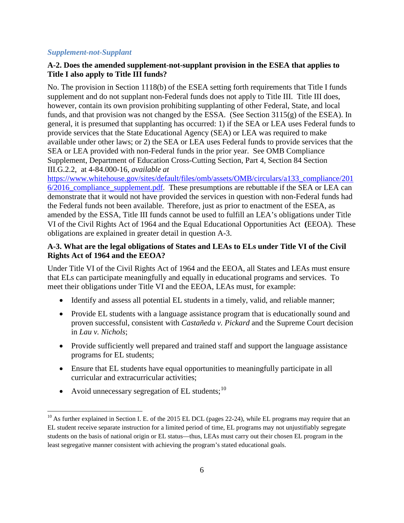#### <span id="page-5-0"></span>*Supplement-not-Supplant*

# **A-2. Does the amended supplement-not-supplant provision in the ESEA that applies to Title I also apply to Title III funds?**

No. The provision in Section 1118(b) of the ESEA setting forth requirements that Title I funds supplement and do not supplant non-Federal funds does not apply to Title III. Title III does, however, contain its own provision prohibiting supplanting of other Federal, State, and local funds, and that provision was not changed by the ESSA. (See Section  $3115(g)$  of the ESEA). In general, it is presumed that supplanting has occurred: 1) if the SEA or LEA uses Federal funds to provide services that the State Educational Agency (SEA) or LEA was required to make available under other laws; or 2) the SEA or LEA uses Federal funds to provide services that the SEA or LEA provided with non-Federal funds in the prior year. See OMB Compliance Supplement, Department of Education Cross-Cutting Section, Part 4, Section 84 Section III.G.2.2, at 4-84.000-16, *available at*

[https://www.whitehouse.gov/sites/default/files/omb/assets/OMB/circulars/a133\\_compliance/201](https://www.whitehouse.gov/sites/default/files/omb/assets/OMB/circulars/a133_compliance/2016/2016_compliance_supplement.pdf) [6/2016\\_compliance\\_supplement.pdf.](https://www.whitehouse.gov/sites/default/files/omb/assets/OMB/circulars/a133_compliance/2016/2016_compliance_supplement.pdf) These presumptions are rebuttable if the SEA or LEA can demonstrate that it would not have provided the services in question with non-Federal funds had the Federal funds not been available. Therefore, just as prior to enactment of the ESEA, as amended by the ESSA, Title III funds cannot be used to fulfill an LEA's obligations under Title VI of the Civil Rights Act of 1964 and the Equal Educational Opportunities Act **(**EEOA). These obligations are explained in greater detail in question A-3.

# **A-3. What are the legal obligations of States and LEAs to ELs under Title VI of the Civil Rights Act of 1964 and the EEOA?**

Under Title VI of the Civil Rights Act of 1964 and the EEOA, all States and LEAs must ensure that ELs can participate meaningfully and equally in educational programs and services. To meet their obligations under Title VI and the EEOA, LEAs must, for example:

- Identify and assess all potential EL students in a timely, valid, and reliable manner;
- Provide EL students with a language assistance program that is educationally sound and proven successful, consistent with *Castañeda v. Pickard* and the Supreme Court decision in *Lau v. Nichols*;
- Provide sufficiently well prepared and trained staff and support the language assistance programs for EL students;
- Ensure that EL students have equal opportunities to meaningfully participate in all curricular and extracurricular activities;
- Avoid unnecessary segregation of EL students;<sup>[10](#page-5-1)</sup>

l

<span id="page-5-1"></span> $10$  As further explained in Section I. E. of the 2015 EL DCL (pages 22-24), while EL programs may require that an EL student receive separate instruction for a limited period of time, EL programs may not unjustifiably segregate students on the basis of national origin or EL status—thus, LEAs must carry out their chosen EL program in the least segregative manner consistent with achieving the program's stated educational goals.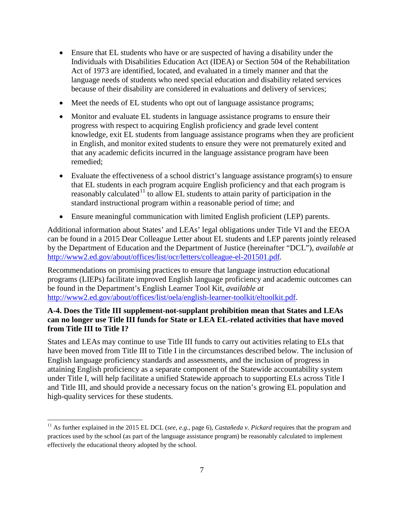- Ensure that EL students who have or are suspected of having a disability under the Individuals with Disabilities Education Act (IDEA) or Section 504 of the Rehabilitation Act of 1973 are identified, located, and evaluated in a timely manner and that the language needs of students who need special education and disability related services because of their disability are considered in evaluations and delivery of services;
- Meet the needs of EL students who opt out of language assistance programs;
- Monitor and evaluate EL students in language assistance programs to ensure their progress with respect to acquiring English proficiency and grade level content knowledge, exit EL students from language assistance programs when they are proficient in English, and monitor exited students to ensure they were not prematurely exited and that any academic deficits incurred in the language assistance program have been remedied;
- Evaluate the effectiveness of a school district's language assistance program(s) to ensure that EL students in each program acquire English proficiency and that each program is reasonably calculated<sup>[11](#page-6-0)</sup> to allow EL students to attain parity of participation in the standard instructional program within a reasonable period of time; and
- Ensure meaningful communication with limited English proficient (LEP) parents.

Additional information about States' and LEAs' legal obligations under Title VI and the EEOA can be found in a 2015 Dear Colleague Letter about EL students and LEP parents jointly released by the Department of Education and the Department of Justice (hereinafter "DCL"), *available at*  <http://www2.ed.gov/about/offices/list/ocr/letters/colleague-el-201501.pdf>*.*

Recommendations on promising practices to ensure that language instruction educational programs (LIEPs) facilitate improved English language proficiency and academic outcomes can be found in the Department's English Learner Tool Kit, *available at* [http://www2.ed.gov/about/offices/list/oela/english-learner-toolkit/eltoolkit.pdf.](http://www2.ed.gov/about/offices/list/oela/english-learner-toolkit/eltoolkit.pdf)

# **A-4. Does the Title III supplement-not-supplant prohibition mean that States and LEAs can no longer use Title III funds for State or LEA EL-related activities that have moved from Title III to Title I?**

States and LEAs may continue to use Title III funds to carry out activities relating to ELs that have been moved from Title III to Title I in the circumstances described below. The inclusion of English language proficiency standards and assessments, and the inclusion of progress in attaining English proficiency as a separate component of the Statewide accountability system under Title I, will help facilitate a unified Statewide approach to supporting ELs across Title I and Title III, and should provide a necessary focus on the nation's growing EL population and high-quality services for these students.

 $\overline{\phantom{a}}$ 

<span id="page-6-0"></span><sup>&</sup>lt;sup>11</sup> As further explained in the 2015 EL DCL (see, e.g., page 6), *Castañeda v. Pickard* requires that the program and practices used by the school (as part of the language assistance program) be reasonably calculated to implement effectively the educational theory adopted by the school.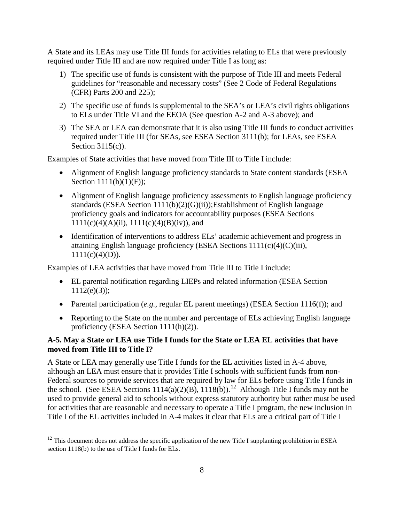A State and its LEAs may use Title III funds for activities relating to ELs that were previously required under Title III and are now required under Title I as long as:

- 1) The specific use of funds is consistent with the purpose of Title III and meets Federal guidelines for "reasonable and necessary costs" (See 2 Code of Federal Regulations (CFR) Parts 200 and 225);
- 2) The specific use of funds is supplemental to the SEA's or LEA's civil rights obligations to ELs under Title VI and the EEOA (See question A-2 and A-3 above); and
- 3) The SEA or LEA can demonstrate that it is also using Title III funds to conduct activities required under Title III (for SEAs, see ESEA Section 3111(b); for LEAs, see ESEA Section 3115(c)).

Examples of State activities that have moved from Title III to Title I include:

- Alignment of English language proficiency standards to State content standards (ESEA Section 1111(b)(1)(F));
- Alignment of English language proficiency assessments to English language proficiency standards (ESEA Section 1111(b)(2)(G)(ii));Establishment of English language proficiency goals and indicators for accountability purposes (ESEA Sections  $1111(c)(4)(A)(ii)$ ,  $1111(c)(4)(B)(iv)$ , and
- Identification of interventions to address ELs' academic achievement and progress in attaining English language proficiency (ESEA Sections 1111(c)(4)(C)(iii),  $1111(c)(4)(D)).$

Examples of LEA activities that have moved from Title III to Title I include:

- EL parental notification regarding LIEPs and related information (ESEA Section 1112(e)(3));
- Parental participation (*e.g.*, regular EL parent meetings) (ESEA Section 1116(f)); and
- Reporting to the State on the number and percentage of ELs achieving English language proficiency (ESEA Section 1111(h)(2)).

# **A-5. May a State or LEA use Title I funds for the State or LEA EL activities that have moved from Title III to Title I?**

A State or LEA may generally use Title I funds for the EL activities listed in A-4 above, although an LEA must ensure that it provides Title I schools with sufficient funds from non-Federal sources to provide services that are required by law for ELs before using Title I funds in the school. (See ESEA Sections  $1114(a)(2)(B)$ ,  $1118(b)$ ).<sup>12</sup> Although Title I funds may not be used to provide general aid to schools without express statutory authority but rather must be used for activities that are reasonable and necessary to operate a Title I program, the new inclusion in Title I of the EL activities included in A-4 makes it clear that ELs are a critical part of Title I

 $\overline{\phantom{a}}$ 

<span id="page-7-0"></span> $12$  This document does not address the specific application of the new Title I supplanting prohibition in ESEA section 1118(b) to the use of Title I funds for ELs.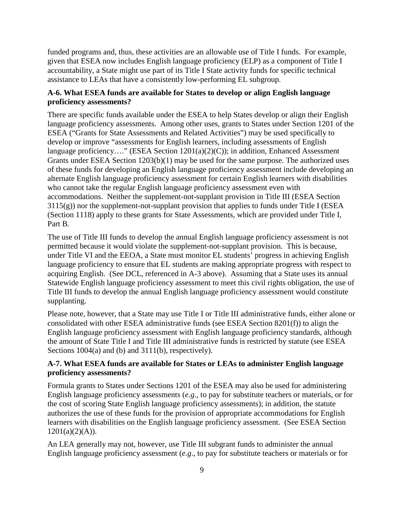funded programs and, thus, these activities are an allowable use of Title I funds. For example, given that ESEA now includes English language proficiency (ELP) as a component of Title I accountability, a State might use part of its Title I State activity funds for specific technical assistance to LEAs that have a consistently low-performing EL subgroup.

#### **A-6. What ESEA funds are available for States to develop or align English language proficiency assessments?**

There are specific funds available under the ESEA to help States develop or align their English language proficiency assessments. Among other uses, grants to States under Section 1201 of the ESEA ("Grants for State Assessments and Related Activities") may be used specifically to develop or improve "assessments for English learners, including assessments of English language proficiency...." (ESEA Section  $1201(a)(2)(C)$ ); in addition, Enhanced Assessment Grants under ESEA Section 1203(b)(1) may be used for the same purpose. The authorized uses of these funds for developing an English language proficiency assessment include developing an alternate English language proficiency assessment for certain English learners with disabilities who cannot take the regular English language proficiency assessment even with accommodations. Neither the supplement-not-supplant provision in Title III (ESEA Section  $3115(g)$ ) nor the supplement-not-supplant provision that applies to funds under Title I (ESEA (Section 1118) apply to these grants for State Assessments, which are provided under Title I, Part B.

The use of Title III funds to develop the annual English language proficiency assessment is not permitted because it would violate the supplement-not-supplant provision. This is because, under Title VI and the EEOA, a State must monitor EL students' progress in achieving English language proficiency to ensure that EL students are making appropriate progress with respect to acquiring English. (See DCL, referenced in A-3 above). Assuming that a State uses its annual Statewide English language proficiency assessment to meet this civil rights obligation, the use of Title III funds to develop the annual English language proficiency assessment would constitute supplanting.

Please note, however, that a State may use Title I or Title III administrative funds, either alone or consolidated with other ESEA administrative funds (see ESEA Section 8201(f)) to align the English language proficiency assessment with English language proficiency standards, although the amount of State Title I and Title III administrative funds is restricted by statute (see ESEA Sections 1004(a) and (b) and 3111(b), respectively).

#### **A-7. What ESEA funds are available for States or LEAs to administer English language proficiency assessments?**

Formula grants to States under Sections 1201 of the ESEA may also be used for administering English language proficiency assessments (*e.g*., to pay for substitute teachers or materials, or for the cost of scoring State English language proficiency assessments); in addition, the statute authorizes the use of these funds for the provision of appropriate accommodations for English learners with disabilities on the English language proficiency assessment. (See ESEA Section  $1201(a)(2)(A)$ ).

An LEA generally may not, however, use Title III subgrant funds to administer the annual English language proficiency assessment (*e.g*., to pay for substitute teachers or materials or for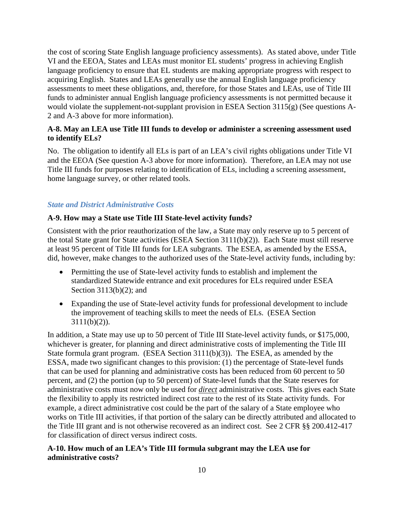the cost of scoring State English language proficiency assessments). As stated above, under Title VI and the EEOA, States and LEAs must monitor EL students' progress in achieving English language proficiency to ensure that EL students are making appropriate progress with respect to acquiring English. States and LEAs generally use the annual English language proficiency assessments to meet these obligations, and, therefore, for those States and LEAs, use of Title III funds to administer annual English language proficiency assessments is not permitted because it would violate the supplement-not-supplant provision in ESEA Section 3115(g) (See questions A-2 and A-3 above for more information).

#### **A-8. May an LEA use Title III funds to develop or administer a screening assessment used to identify ELs?**

No. The obligation to identify all ELs is part of an LEA's civil rights obligations under Title VI and the EEOA (See question A-3 above for more information). Therefore, an LEA may not use Title III funds for purposes relating to identification of ELs, including a screening assessment, home language survey, or other related tools.

#### <span id="page-9-0"></span>*State and District Administrative Costs*

#### **A-9. How may a State use Title III State-level activity funds?**

Consistent with the prior reauthorization of the law, a State may only reserve up to 5 percent of the total State grant for State activities (ESEA Section 3111(b)(2)). Each State must still reserve at least 95 percent of Title III funds for LEA subgrants. The ESEA, as amended by the ESSA, did, however, make changes to the authorized uses of the State-level activity funds, including by:

- Permitting the use of State-level activity funds to establish and implement the standardized Statewide entrance and exit procedures for ELs required under ESEA Section 3113(b)(2); and
- Expanding the use of State-level activity funds for professional development to include the improvement of teaching skills to meet the needs of ELs. (ESEA Section  $3111(b)(2)$ ).

In addition, a State may use up to 50 percent of Title III State-level activity funds, or \$175,000, whichever is greater, for planning and direct administrative costs of implementing the Title III State formula grant program. (ESEA Section 3111(b)(3)). The ESEA, as amended by the ESSA, made two significant changes to this provision: (1) the percentage of State-level funds that can be used for planning and administrative costs has been reduced from 60 percent to 50 percent, and (2) the portion (up to 50 percent) of State-level funds that the State reserves for administrative costs must now only be used for *direct* administrative costs. This gives each State the flexibility to apply its restricted indirect cost rate to the rest of its State activity funds. For example, a direct administrative cost could be the part of the salary of a State employee who works on Title III activities, if that portion of the salary can be directly attributed and allocated to the Title III grant and is not otherwise recovered as an indirect cost. See 2 CFR §§ 200.412-417 for classification of direct versus indirect costs.

#### **A-10. How much of an LEA's Title III formula subgrant may the LEA use for administrative costs?**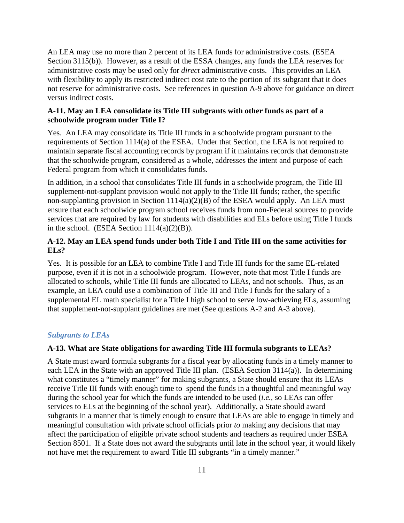An LEA may use no more than 2 percent of its LEA funds for administrative costs. (ESEA Section 3115(b)). However, as a result of the ESSA changes, any funds the LEA reserves for administrative costs may be used only for *direct* administrative costs. This provides an LEA with flexibility to apply its restricted indirect cost rate to the portion of its subgrant that it does not reserve for administrative costs. See references in question A-9 above for guidance on direct versus indirect costs.

#### **A-11. May an LEA consolidate its Title III subgrants with other funds as part of a schoolwide program under Title I?**

Yes. An LEA may consolidate its Title III funds in a schoolwide program pursuant to the requirements of Section 1114(a) of the ESEA. Under that Section, the LEA is not required to maintain separate fiscal accounting records by program if it maintains records that demonstrate that the schoolwide program, considered as a whole, addresses the intent and purpose of each Federal program from which it consolidates funds.

In addition, in a school that consolidates Title III funds in a schoolwide program, the Title III supplement-not-supplant provision would not apply to the Title III funds; rather, the specific non-supplanting provision in Section 1114(a)(2)(B) of the ESEA would apply. An LEA must ensure that each schoolwide program school receives funds from non-Federal sources to provide services that are required by law for students with disabilities and ELs before using Title I funds in the school. (ESEA Section  $1114(a)(2)(B)$ ).

# **A-12. May an LEA spend funds under both Title I and Title III on the same activities for ELs?**

Yes. It is possible for an LEA to combine Title I and Title III funds for the same EL-related purpose, even if it is not in a schoolwide program. However, note that most Title I funds are allocated to schools, while Title III funds are allocated to LEAs, and not schools. Thus, as an example, an LEA could use a combination of Title III and Title I funds for the salary of a supplemental EL math specialist for a Title I high school to serve low-achieving ELs, assuming that supplement-not-supplant guidelines are met (See questions A-2 and A-3 above).

#### <span id="page-10-0"></span>*Subgrants to LEAs*

#### **A-13. What are State obligations for awarding Title III formula subgrants to LEAs?**

A State must award formula subgrants for a fiscal year by allocating funds in a timely manner to each LEA in the State with an approved Title III plan. (ESEA Section 3114(a)). In determining what constitutes a "timely manner" for making subgrants, a State should ensure that its LEAs receive Title III funds with enough time to spend the funds in a thoughtful and meaningful way during the school year for which the funds are intended to be used (*i.e.,* so LEAs can offer services to ELs at the beginning of the school year). Additionally, a State should award subgrants in a manner that is timely enough to ensure that LEAs are able to engage in timely and meaningful consultation with private school officials prior *to* making any decisions that may affect the participation of eligible private school students and teachers as required under ESEA Section 8501. If a State does not award the subgrants until late in the school year, it would likely not have met the requirement to award Title III subgrants "in a timely manner."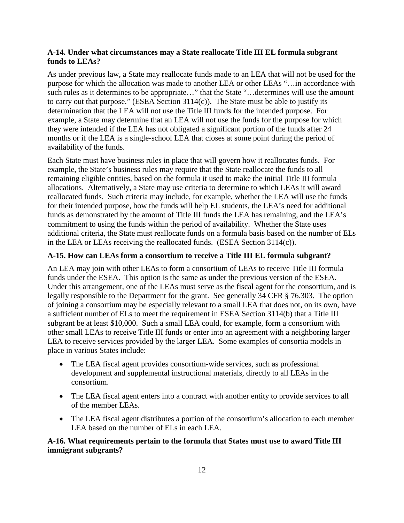#### **A-14. Under what circumstances may a State reallocate Title III EL formula subgrant funds to LEAs?**

As under previous law, a State may reallocate funds made to an LEA that will not be used for the purpose for which the allocation was made to another LEA or other LEAs "…in accordance with such rules as it determines to be appropriate…" that the State "…determines will use the amount to carry out that purpose." (ESEA Section 3114(c)). The State must be able to justify its determination that the LEA will not use the Title III funds for the intended purpose. For example, a State may determine that an LEA will not use the funds for the purpose for which they were intended if the LEA has not obligated a significant portion of the funds after 24 months or if the LEA is a single-school LEA that closes at some point during the period of availability of the funds.

Each State must have business rules in place that will govern how it reallocates funds. For example, the State's business rules may require that the State reallocate the funds to all remaining eligible entities, based on the formula it used to make the initial Title III formula allocations. Alternatively, a State may use criteria to determine to which LEAs it will award reallocated funds. Such criteria may include, for example, whether the LEA will use the funds for their intended purpose, how the funds will help EL students, the LEA's need for additional funds as demonstrated by the amount of Title III funds the LEA has remaining, and the LEA's commitment to using the funds within the period of availability. Whether the State uses additional criteria, the State must reallocate funds on a formula basis based on the number of ELs in the LEA or LEAs receiving the reallocated funds. (ESEA Section 3114(c)).

#### **A-15. How can LEAs form a consortium to receive a Title III EL formula subgrant?**

An LEA may join with other LEAs to form a consortium of LEAs to receive Title III formula funds under the ESEA. This option is the same as under the previous version of the ESEA. Under this arrangement, one of the LEAs must serve as the fiscal agent for the consortium, and is legally responsible to the Department for the grant. See generally 34 CFR § 76.303. The option of joining a consortium may be especially relevant to a small LEA that does not, on its own, have a sufficient number of ELs to meet the requirement in ESEA Section 3114(b) that a Title III subgrant be at least \$10,000. Such a small LEA could, for example, form a consortium with other small LEAs to receive Title III funds or enter into an agreement with a neighboring larger LEA to receive services provided by the larger LEA. Some examples of consortia models in place in various States include:

- The LEA fiscal agent provides consortium-wide services, such as professional development and supplemental instructional materials, directly to all LEAs in the consortium.
- The LEA fiscal agent enters into a contract with another entity to provide services to all of the member LEAs.
- The LEA fiscal agent distributes a portion of the consortium's allocation to each member LEA based on the number of ELs in each LEA.

#### **A-16. What requirements pertain to the formula that States must use to award Title III immigrant subgrants?**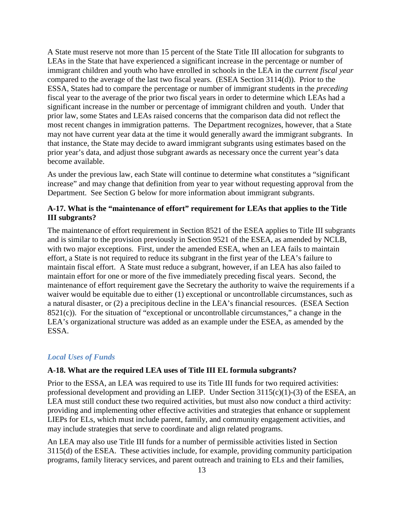A State must reserve not more than 15 percent of the State Title III allocation for subgrants to LEAs in the State that have experienced a significant increase in the percentage or number of immigrant children and youth who have enrolled in schools in the LEA in the *current fiscal year* compared to the average of the last two fiscal years. (ESEA Section 3114(d)). Prior to the ESSA, States had to compare the percentage or number of immigrant students in the *preceding* fiscal year to the average of the prior two fiscal years in order to determine which LEAs had a significant increase in the number or percentage of immigrant children and youth. Under that prior law, some States and LEAs raised concerns that the comparison data did not reflect the most recent changes in immigration patterns. The Department recognizes, however, that a State may not have current year data at the time it would generally award the immigrant subgrants. In that instance, the State may decide to award immigrant subgrants using estimates based on the prior year's data, and adjust those subgrant awards as necessary once the current year's data become available.

As under the previous law, each State will continue to determine what constitutes a "significant increase" and may change that definition from year to year without requesting approval from the Department. See Section G below for more information about immigrant subgrants.

# **A-17. What is the "maintenance of effort" requirement for LEAs that applies to the Title III subgrants?**

The maintenance of effort requirement in Section 8521 of the ESEA applies to Title III subgrants and is similar to the provision previously in Section 9521 of the ESEA, as amended by NCLB, with two major exceptions. First, under the amended ESEA, when an LEA fails to maintain effort, a State is not required to reduce its subgrant in the first year of the LEA's failure to maintain fiscal effort. A State must reduce a subgrant, however, if an LEA has also failed to maintain effort for one or more of the five immediately preceding fiscal years. Second, the maintenance of effort requirement gave the Secretary the authority to waive the requirements if a waiver would be equitable due to either (1) exceptional or uncontrollable circumstances, such as a natural disaster, or (2) a precipitous decline in the LEA's financial resources. (ESEA Section 8521(c)). For the situation of "exceptional or uncontrollable circumstances," a change in the LEA's organizational structure was added as an example under the ESEA, as amended by the ESSA.

#### <span id="page-12-0"></span>*Local Uses of Funds*

#### **A-18. What are the required LEA uses of Title III EL formula subgrants?**

Prior to the ESSA, an LEA was required to use its Title III funds for two required activities: professional development and providing an LIEP. Under Section  $3115(c)(1)-(3)$  of the ESEA, an LEA must still conduct these two required activities, but must also now conduct a third activity: providing and implementing other effective activities and strategies that enhance or supplement LIEPs for ELs, which must include parent, family, and community engagement activities, and may include strategies that serve to coordinate and align related programs.

An LEA may also use Title III funds for a number of permissible activities listed in Section 3115(d) of the ESEA. These activities include, for example, providing community participation programs, family literacy services, and parent outreach and training to ELs and their families,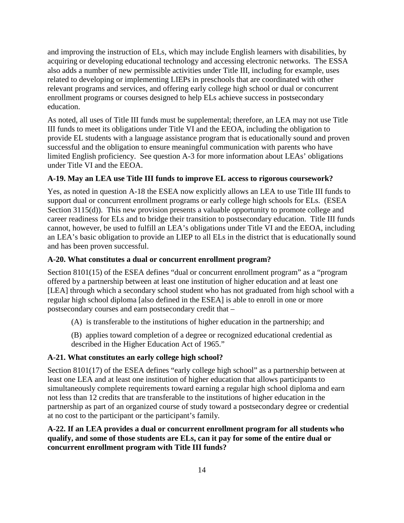and improving the instruction of ELs, which may include English learners with disabilities, by acquiring or developing educational technology and accessing electronic networks. The ESSA also adds a number of new permissible activities under Title III, including for example, uses related to developing or implementing LIEPs in preschools that are coordinated with other relevant programs and services, and offering early college high school or dual or concurrent enrollment programs or courses designed to help ELs achieve success in postsecondary education.

As noted, all uses of Title III funds must be supplemental; therefore, an LEA may not use Title III funds to meet its obligations under Title VI and the EEOA, including the obligation to provide EL students with a language assistance program that is educationally sound and proven successful and the obligation to ensure meaningful communication with parents who have limited English proficiency. See question A-3 for more information about LEAs' obligations under Title VI and the EEOA.

# **A-19. May an LEA use Title III funds to improve EL access to rigorous coursework?**

Yes, as noted in question A-18 the ESEA now explicitly allows an LEA to use Title III funds to support dual or concurrent enrollment programs or early college high schools for ELs. (ESEA Section 3115(d)). This new provision presents a valuable opportunity to promote college and career readiness for ELs and to bridge their transition to postsecondary education. Title III funds cannot, however, be used to fulfill an LEA's obligations under Title VI and the EEOA, including an LEA's basic obligation to provide an LIEP to all ELs in the district that is educationally sound and has been proven successful.

#### **A-20. What constitutes a dual or concurrent enrollment program?**

Section 8101(15) of the ESEA defines "dual or concurrent enrollment program" as a "program offered by a partnership between at least one institution of higher education and at least one [LEA] through which a secondary school student who has not graduated from high school with a regular high school diploma [also defined in the ESEA] is able to enroll in one or more postsecondary courses and earn postsecondary credit that –

- (A) is transferable to the institutions of higher education in the partnership; and
- (B) applies toward completion of a degree or recognized educational credential as described in the Higher Education Act of 1965."

#### **A-21. What constitutes an early college high school?**

Section 8101(17) of the ESEA defines "early college high school" as a partnership between at least one LEA and at least one institution of higher education that allows participants to simultaneously complete requirements toward earning a regular high school diploma and earn not less than 12 credits that are transferable to the institutions of higher education in the partnership as part of an organized course of study toward a postsecondary degree or credential at no cost to the participant or the participant's family.

# **A-22. If an LEA provides a dual or concurrent enrollment program for all students who qualify, and some of those students are ELs, can it pay for some of the entire dual or concurrent enrollment program with Title III funds?**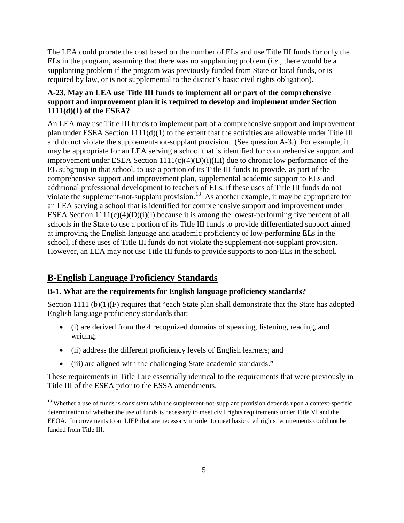The LEA could prorate the cost based on the number of ELs and use Title III funds for only the ELs in the program, assuming that there was no supplanting problem (*i.e.*, there would be a supplanting problem if the program was previously funded from State or local funds, or is required by law, or is not supplemental to the district's basic civil rights obligation).

# **A-23. May an LEA use Title III funds to implement all or part of the comprehensive support and improvement plan it is required to develop and implement under Section 1111(d)(1) of the ESEA?**

An LEA may use Title III funds to implement part of a comprehensive support and improvement plan under ESEA Section 1111(d)(1) to the extent that the activities are allowable under Title III and do not violate the supplement-not-supplant provision. (See question A-3.) For example, it may be appropriate for an LEA serving a school that is identified for comprehensive support and improvement under ESEA Section  $1111(c)(4)(D)(i)(III)$  due to chronic low performance of the EL subgroup in that school, to use a portion of its Title III funds to provide, as part of the comprehensive support and improvement plan, supplemental academic support to ELs and additional professional development to teachers of ELs, if these uses of Title III funds do not violate the supplement-not-supplant provision. [13](#page-14-1) As another example, it may be appropriate for an LEA serving a school that is identified for comprehensive support and improvement under ESEA Section  $1111(c)(4)(D)(i)(I)$  because it is among the lowest-performing five percent of all schools in the State to use a portion of its Title III funds to provide differentiated support aimed at improving the English language and academic proficiency of low-performing ELs in the school, if these uses of Title III funds do not violate the supplement-not-supplant provision. However, an LEA may not use Title III funds to provide supports to non-ELs in the school.

# **B-English Language Proficiency Standards**

 $\overline{\phantom{a}}$ 

# **B-1. What are the requirements for English language proficiency standards?**

Section 1111 (b)(1)(F) requires that "each State plan shall demonstrate that the State has adopted English language proficiency standards that:

- <span id="page-14-0"></span>• (i) are derived from the 4 recognized domains of speaking, listening, reading, and writing;
- (ii) address the different proficiency levels of English learners; and
- (iii) are aligned with the challenging State academic standards."

These requirements in Title I are essentially identical to the requirements that were previously in Title III of the ESEA prior to the ESSA amendments.

<span id="page-14-1"></span><sup>&</sup>lt;sup>13</sup> Whether a use of funds is consistent with the supplement-not-supplant provision depends upon a context-specific determination of whether the use of funds is necessary to meet civil rights requirements under Title VI and the EEOA. Improvements to an LIEP that are necessary in order to meet basic civil rights requirements could not be funded from Title III.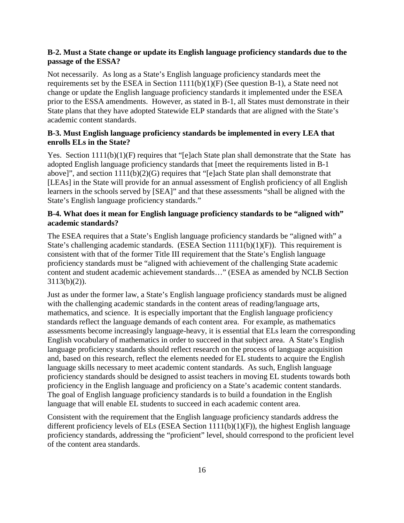#### **B-2. Must a State change or update its English language proficiency standards due to the passage of the ESSA?**

Not necessarily. As long as a State's English language proficiency standards meet the requirements set by the ESEA in Section 1111(b)(1)(F) (See question B-1), a State need not change or update the English language proficiency standards it implemented under the ESEA prior to the ESSA amendments. However, as stated in B-1, all States must demonstrate in their State plans that they have adopted Statewide ELP standards that are aligned with the State's academic content standards.

#### **B-3. Must English language proficiency standards be implemented in every LEA that enrolls ELs in the State?**

Yes. Section  $1111(b)(1)(F)$  requires that "[e]ach State plan shall demonstrate that the State has adopted English language proficiency standards that [meet the requirements listed in B-1 above]", and section 1111(b)(2)(G) requires that "[e]ach State plan shall demonstrate that [LEAs] in the State will provide for an annual assessment of English proficiency of all English learners in the schools served by [SEA]" and that these assessments "shall be aligned with the State's English language proficiency standards."

#### **B-4. What does it mean for English language proficiency standards to be "aligned with" academic standards?**

The ESEA requires that a State's English language proficiency standards be "aligned with" a State's challenging academic standards. (ESEA Section  $1111(b)(1)(F)$ ). This requirement is consistent with that of the former Title III requirement that the State's English language proficiency standards must be "aligned with achievement of the challenging State academic content and student academic achievement standards…" (ESEA as amended by NCLB Section 3113(b)(2)).

Just as under the former law, a State's English language proficiency standards must be aligned with the challenging academic standards in the content areas of reading/language arts, mathematics, and science. It is especially important that the English language proficiency standards reflect the language demands of each content area. For example, as mathematics assessments become increasingly language-heavy, it is essential that ELs learn the corresponding English vocabulary of mathematics in order to succeed in that subject area. A State's English language proficiency standards should reflect research on the process of language acquisition and, based on this research, reflect the elements needed for EL students to acquire the English language skills necessary to meet academic content standards. As such, English language proficiency standards should be designed to assist teachers in moving EL students towards both proficiency in the English language and proficiency on a State's academic content standards. The goal of English language proficiency standards is to build a foundation in the English language that will enable EL students to succeed in each academic content area.

Consistent with the requirement that the English language proficiency standards address the different proficiency levels of ELs (ESEA Section  $1111(b)(1)(F)$ ), the highest English language proficiency standards, addressing the "proficient" level, should correspond to the proficient level of the content area standards.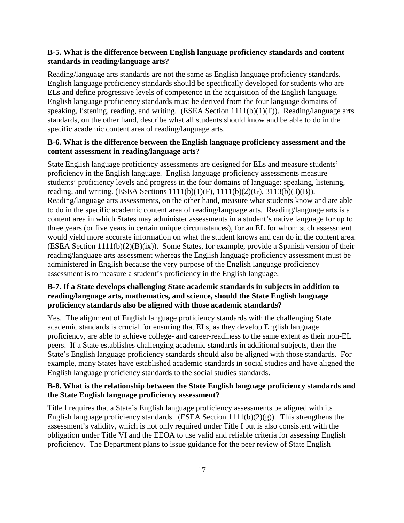# **B-5. What is the difference between English language proficiency standards and content standards in reading/language arts?**

Reading/language arts standards are not the same as English language proficiency standards. English language proficiency standards should be specifically developed for students who are ELs and define progressive levels of competence in the acquisition of the English language. English language proficiency standards must be derived from the four language domains of speaking, listening, reading, and writing. (ESEA Section 1111(b)(1)(F)). Reading/language arts standards, on the other hand, describe what all students should know and be able to do in the specific academic content area of reading/language arts.

#### **B-6. What is the difference between the English language proficiency assessment and the content assessment in reading/language arts?**

State English language proficiency assessments are designed for ELs and measure students' proficiency in the English language. English language proficiency assessments measure students' proficiency levels and progress in the four domains of language: speaking, listening, reading, and writing. (ESEA Sections 1111(b)(1)(F), 1111(b)(2)(G), 3113(b)(3)(B)). Reading/language arts assessments, on the other hand, measure what students know and are able to do in the specific academic content area of reading/language arts. Reading/language arts is a content area in which States may administer assessments in a student's native language for up to three years (or five years in certain unique circumstances), for an EL for whom such assessment would yield more accurate information on what the student knows and can do in the content area. (ESEA Section 1111(b)(2)(B)(ix)). Some States, for example, provide a Spanish version of their reading/language arts assessment whereas the English language proficiency assessment must be administered in English because the very purpose of the English language proficiency assessment is to measure a student's proficiency in the English language.

# **B-7. If a State develops challenging State academic standards in subjects in addition to reading/language arts, mathematics, and science, should the State English language proficiency standards also be aligned with those academic standards?**

Yes. The alignment of English language proficiency standards with the challenging State academic standards is crucial for ensuring that ELs, as they develop English language proficiency, are able to achieve college- and career-readiness to the same extent as their non-EL peers. If a State establishes challenging academic standards in additional subjects, then the State's English language proficiency standards should also be aligned with those standards. For example, many States have established academic standards in social studies and have aligned the English language proficiency standards to the social studies standards.

# **B-8. What is the relationship between the State English language proficiency standards and the State English language proficiency assessment?**

Title I requires that a State's English language proficiency assessments be aligned with its English language proficiency standards. (ESEA Section  $1111(b)(2)(g)$ ). This strengthens the assessment's validity, which is not only required under Title I but is also consistent with the obligation under Title VI and the EEOA to use valid and reliable criteria for assessing English proficiency. The Department plans to issue guidance for the peer review of State English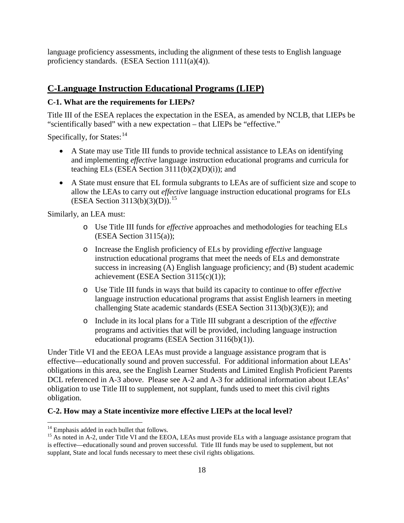language proficiency assessments, including the alignment of these tests to English language proficiency standards. (ESEA Section 1111(a)(4)).

# <span id="page-17-0"></span>**C-Language Instruction Educational Programs (LIEP)**

# **C-1. What are the requirements for LIEPs?**

Title III of the ESEA replaces the expectation in the ESEA, as amended by NCLB, that LIEPs be "scientifically based" with a new expectation – that LIEPs be "effective."

Specifically, for States:<sup>[14](#page-17-1)</sup>

- A State may use Title III funds to provide technical assistance to LEAs on identifying and implementing *effective* language instruction educational programs and curricula for teaching ELs (ESEA Section  $3111(b)(2)(D)(i)$ ); and
- A State must ensure that EL formula subgrants to LEAs are of sufficient size and scope to allow the LEAs to carry out *effective* language instruction educational programs for ELs  $(ESEA Section 3113(b)(3)(D))$ .<sup>[15](#page-17-2)</sup>

Similarly, an LEA must:

- o Use Title III funds for *effective* approaches and methodologies for teaching ELs  $(ESEA Section 3115(a))$ ;
- o Increase the English proficiency of ELs by providing *effective* language instruction educational programs that meet the needs of ELs and demonstrate success in increasing (A) English language proficiency; and (B) student academic achievement (ESEA Section  $3115(c)(1)$ );
- o Use Title III funds in ways that build its capacity to continue to offer *effective* language instruction educational programs that assist English learners in meeting challenging State academic standards (ESEA Section 3113(b)(3)(E)); and
- o Include in its local plans for a Title III subgrant a description of the *effective* programs and activities that will be provided, including language instruction educational programs (ESEA Section 3116(b)(1)).

Under Title VI and the EEOA LEAs must provide a language assistance program that is effective—educationally sound and proven successful. For additional information about LEAs' obligations in this area, see the English Learner Students and Limited English Proficient Parents DCL referenced in A-3 above. Please see A-2 and A-3 for additional information about LEAs' obligation to use Title III to supplement, not supplant, funds used to meet this civil rights obligation.

#### **C-2. How may a State incentivize more effective LIEPs at the local level?**

<span id="page-17-2"></span><span id="page-17-1"></span><sup>&</sup>lt;sup>14</sup> Emphasis added in each bullet that follows.<br><sup>15</sup> As noted in A-2, under Title VI and the EEOA, LEAs must provide ELs with a language assistance program that is effective—educationally sound and proven successful. Title III funds may be used to supplement, but not supplant, State and local funds necessary to meet these civil rights obligations.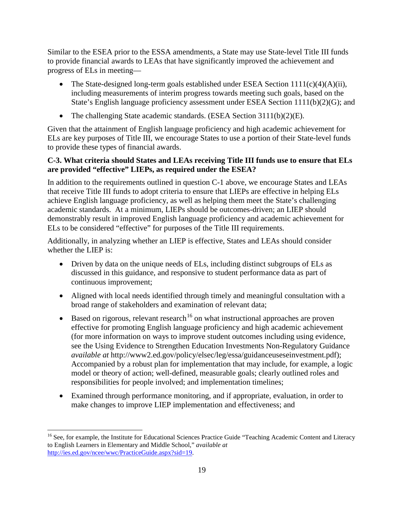Similar to the ESEA prior to the ESSA amendments, a State may use State-level Title III funds to provide financial awards to LEAs that have significantly improved the achievement and progress of ELs in meeting—

- The State-designed long-term goals established under ESEA Section  $1111(c)(4)(A)(ii)$ , including measurements of interim progress towards meeting such goals, based on the State's English language proficiency assessment under ESEA Section 1111(b)(2)(G); and
- The challenging State academic standards. (ESEA Section 3111(b)(2)(E).

Given that the attainment of English language proficiency and high academic achievement for ELs are key purposes of Title III, we encourage States to use a portion of their State-level funds to provide these types of financial awards.

# **C-3. What criteria should States and LEAs receiving Title III funds use to ensure that ELs are provided "effective" LIEPs, as required under the ESEA?**

In addition to the requirements outlined in question C-1 above, we encourage States and LEAs that receive Title III funds to adopt criteria to ensure that LIEPs are effective in helping ELs achieve English language proficiency, as well as helping them meet the State's challenging academic standards. At a minimum, LIEPs should be outcomes-driven; an LIEP should demonstrably result in improved English language proficiency and academic achievement for ELs to be considered "effective" for purposes of the Title III requirements.

Additionally, in analyzing whether an LIEP is effective, States and LEAs should consider whether the LIEP is:

- Driven by data on the unique needs of ELs, including distinct subgroups of ELs as discussed in this guidance, and responsive to student performance data as part of continuous improvement;
- Aligned with local needs identified through timely and meaningful consultation with a broad range of stakeholders and examination of relevant data;
- Based on rigorous, relevant research<sup>[16](#page-18-0)</sup> on what instructional approaches are proven effective for promoting English language proficiency and high academic achievement (for more information on ways to improve student outcomes including using evidence, see the Using Evidence to Strengthen Education Investments Non-Regulatory Guidance *available at* http://www2.ed.gov/policy/elsec/leg/essa/guidanceuseseinvestment.pdf); Accompanied by a robust plan for implementation that may include, for example, a logic model or theory of action; well-defined, measurable goals; clearly outlined roles and responsibilities for people involved; and implementation timelines;
- Examined through performance monitoring, and if appropriate, evaluation, in order to make changes to improve LIEP implementation and effectiveness; and

<span id="page-18-0"></span><sup>&</sup>lt;sup>16</sup> See, for example, the Institute for Educational Sciences Practice Guide "Teaching Academic Content and Literacy to English Learners in Elementary and Middle School," *available at* [http://ies.ed.gov/ncee/wwc/PracticeGuide.aspx?sid=19.](http://ies.ed.gov/ncee/wwc/PracticeGuide.aspx?sid=19)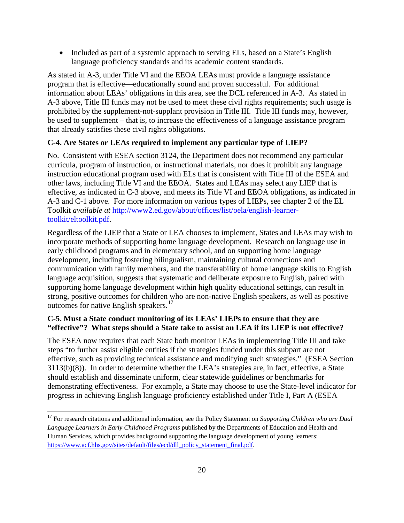• Included as part of a systemic approach to serving ELs, based on a State's English language proficiency standards and its academic content standards.

As stated in A-3, under Title VI and the EEOA LEAs must provide a language assistance program that is effective—educationally sound and proven successful. For additional information about LEAs' obligations in this area, see the DCL referenced in A-3. As stated in A-3 above, Title III funds may not be used to meet these civil rights requirements; such usage is prohibited by the supplement-not-supplant provision in Title III. Title III funds may, however, be used to supplement – that is, to increase the effectiveness of a language assistance program that already satisfies these civil rights obligations.

# **C-4. Are States or LEAs required to implement any particular type of LIEP?**

No. Consistent with ESEA section 3124, the Department does not recommend any particular curricula, program of instruction, or instructional materials, nor does it prohibit any language instruction educational program used with ELs that is consistent with Title III of the ESEA and other laws, including Title VI and the EEOA. States and LEAs may select any LIEP that is effective, as indicated in C-3 above, and meets its Title VI and EEOA obligations, as indicated in A-3 and C-1 above. For more information on various types of LIEPs, see chapter 2 of the EL Toolkit *available at* [http://www2.ed.gov/about/offices/list/oela/english-learner](http://www2.ed.gov/about/offices/list/oela/english-learner-toolkit/eltoolkit.pdf)[toolkit/eltoolkit.pdf.](http://www2.ed.gov/about/offices/list/oela/english-learner-toolkit/eltoolkit.pdf)

Regardless of the LIEP that a State or LEA chooses to implement, States and LEAs may wish to incorporate methods of supporting home language development. Research on language use in early childhood programs and in elementary school, and on supporting home language development, including fostering bilingualism, maintaining cultural connections and communication with family members, and the transferability of home language skills to English language acquisition, suggests that systematic and deliberate exposure to English, paired with supporting home language development within high quality educational settings, can result in strong, positive outcomes for children who are non-native English speakers, as well as positive outcomes for native English speakers.<sup>[17](#page-19-0)</sup>

#### **C-5. Must a State conduct monitoring of its LEAs' LIEPs to ensure that they are "effective"? What steps should a State take to assist an LEA if its LIEP is not effective?**

The ESEA now requires that each State both monitor LEAs in implementing Title III and take steps "to further assist eligible entities if the strategies funded under this subpart are not effective, such as providing technical assistance and modifying such strategies." (ESEA Section 3113(b)(8)). In order to determine whether the LEA's strategies are, in fact, effective, a State should establish and disseminate uniform, clear statewide guidelines or benchmarks for demonstrating effectiveness. For example, a State may choose to use the State-level indicator for progress in achieving English language proficiency established under Title I, Part A (ESEA

l

<span id="page-19-0"></span><sup>17</sup> For research citations and additional information, see the Policy Statement on *Supporting Children who are Dual Language Learners in Early Childhood Programs* published by the Departments of Education and Health and Human Services, which provides background supporting the language development of young learners: [https://www.acf.hhs.gov/sites/default/files/ecd/dll\\_policy\\_statement\\_final.pdf.](https://www.acf.hhs.gov/sites/default/files/ecd/dll_policy_statement_final.pdf)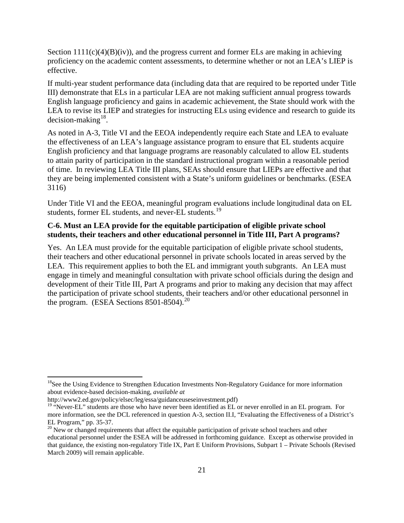Section  $1111(c)(4)(B)(iv)$ , and the progress current and former ELs are making in achieving proficiency on the academic content assessments, to determine whether or not an LEA's LIEP is effective.

If multi-year student performance data (including data that are required to be reported under Title III) demonstrate that ELs in a particular LEA are not making sufficient annual progress towards English language proficiency and gains in academic achievement, the State should work with the LEA to revise its LIEP and strategies for instructing ELs using evidence and research to guide its  $decision-making<sup>18</sup>$ .

As noted in A-3, Title VI and the EEOA independently require each State and LEA to evaluate the effectiveness of an LEA's language assistance program to ensure that EL students acquire English proficiency and that language programs are reasonably calculated to allow EL students to attain parity of participation in the standard instructional program within a reasonable period of time. In reviewing LEA Title III plans, SEAs should ensure that LIEPs are effective and that they are being implemented consistent with a State's uniform guidelines or benchmarks. (ESEA 3116)

Under Title VI and the EEOA, meaningful program evaluations include longitudinal data on EL students, former EL students, and never-EL students.<sup>[19](#page-20-1)</sup>

# **C-6. Must an LEA provide for the equitable participation of eligible private school students, their teachers and other educational personnel in Title III, Part A programs?**

Yes. An LEA must provide for the equitable participation of eligible private school students, their teachers and other educational personnel in private schools located in areas served by the LEA. This requirement applies to both the EL and immigrant youth subgrants. An LEA must engage in timely and meaningful consultation with private school officials during the design and development of their Title III, Part A programs and prior to making any decision that may affect the participation of private school students, their teachers and/or other educational personnel in the program. (ESEA Sections 8501-8504).<sup>[20](#page-20-2)</sup>

<span id="page-20-0"></span><sup>&</sup>lt;sup>18</sup>See the Using Evidence to Strengthen Education Investments Non-Regulatory Guidance for more information about evidence-based decision-making, *available at*

http://www2.ed.gov/policy/elsec/leg/essa/guidanceuseseinvestment.pdf)

<span id="page-20-1"></span><sup>&</sup>lt;sup>19 "</sup>Never-EL" students are those who have never been identified as EL or never enrolled in an EL program. For more information, see the DCL referenced in question A-3, section II.I, "Evaluating the Effectiveness of a District's EL Program," pp. 35-37.<br><sup>20</sup> New or changed requirements that affect the equitable participation of private school teachers and other

<span id="page-20-2"></span>educational personnel under the ESEA will be addressed in forthcoming guidance. Except as otherwise provided in that guidance, the existing non-regulatory Title IX, Part E Uniform Provisions, Subpart 1 – Private Schools (Revised March 2009) will remain applicable.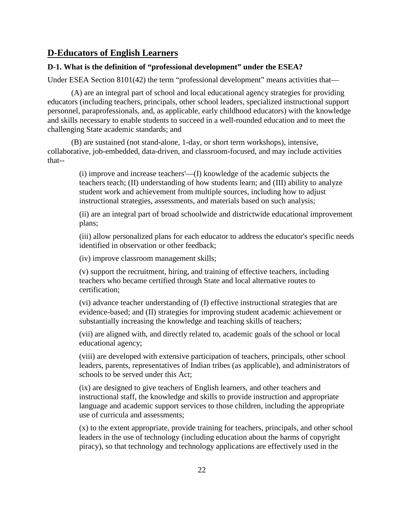#### <span id="page-21-0"></span>**D-Educators of English Learners**

#### **D-1. What is the definition of "professional development" under the ESEA?**

Under ESEA Section 8101(42) the term "professional development" means activities that—

 (A) are an integral part of school and local educational agency strategies for providing educators (including teachers, principals, other school leaders, specialized instructional support personnel, paraprofessionals, and, as applicable, early childhood educators) with the knowledge and skills necessary to enable students to succeed in a well-rounded education and to meet the challenging State academic standards; and

 (B) are sustained (not stand-alone, 1-day, or short term workshops), intensive, collaborative, job-embedded, data-driven, and classroom-focused, and may include activities that--

> (i) improve and increase teachers'—(I) knowledge of the academic subjects the teachers teach; (II) understanding of how students learn; and (III) ability to analyze student work and achievement from multiple sources, including how to adjust instructional strategies, assessments, and materials based on such analysis;

(ii) are an integral part of broad schoolwide and districtwide educational improvement plans;

(iii) allow personalized plans for each educator to address the educator's specific needs identified in observation or other feedback;

(iv) improve classroom management skills;

(v) support the recruitment, hiring, and training of effective teachers, including teachers who became certified through State and local alternative routes to certification;

(vi) advance teacher understanding of (I) effective instructional strategies that are evidence-based; and (II) strategies for improving student academic achievement or substantially increasing the knowledge and teaching skills of teachers;

(vii) are aligned with, and directly related to, academic goals of the school or local educational agency;

(viii) are developed with extensive participation of teachers, principals, other school leaders, parents, representatives of Indian tribes (as applicable), and administrators of schools to be served under this Act;

(ix) are designed to give teachers of English learners, and other teachers and instructional staff, the knowledge and skills to provide instruction and appropriate language and academic support services to those children, including the appropriate use of curricula and assessments;

(x) to the extent appropriate, provide training for teachers, principals, and other school leaders in the use of technology (including education about the harms of copyright piracy), so that technology and technology applications are effectively used in the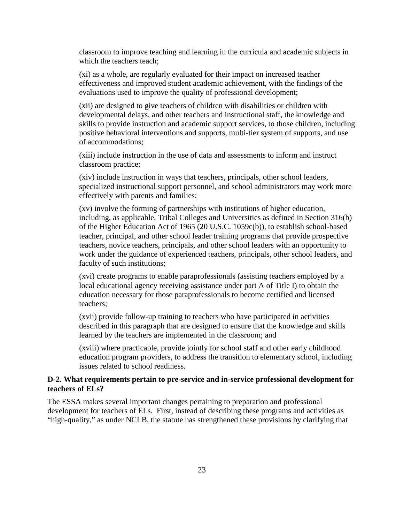classroom to improve teaching and learning in the curricula and academic subjects in which the teachers teach;

(xi) as a whole, are regularly evaluated for their impact on increased teacher effectiveness and improved student academic achievement, with the findings of the evaluations used to improve the quality of professional development;

(xii) are designed to give teachers of children with disabilities or children with developmental delays, and other teachers and instructional staff, the knowledge and skills to provide instruction and academic support services, to those children, including positive behavioral interventions and supports, multi-tier system of supports, and use of accommodations;

(xiii) include instruction in the use of data and assessments to inform and instruct classroom practice;

(xiv) include instruction in ways that teachers, principals, other school leaders, specialized instructional support personnel, and school administrators may work more effectively with parents and families;

(xv) involve the forming of partnerships with institutions of higher education, including, as applicable, Tribal Colleges and Universities as defined in Section 316(b) of the Higher Education Act of 1965 (20 U.S.C. 1059c(b)), to establish school-based teacher, principal, and other school leader training programs that provide prospective teachers, novice teachers, principals, and other school leaders with an opportunity to work under the guidance of experienced teachers, principals, other school leaders, and faculty of such institutions;

(xvi) create programs to enable paraprofessionals (assisting teachers employed by a local educational agency receiving assistance under part A of Title I) to obtain the education necessary for those paraprofessionals to become certified and licensed teachers;

(xvii) provide follow-up training to teachers who have participated in activities described in this paragraph that are designed to ensure that the knowledge and skills learned by the teachers are implemented in the classroom; and

(xviii) where practicable, provide jointly for school staff and other early childhood education program providers, to address the transition to elementary school, including issues related to school readiness.

#### **D-2. What requirements pertain to pre-service and in-service professional development for teachers of ELs?**

The ESSA makes several important changes pertaining to preparation and professional development for teachers of ELs. First, instead of describing these programs and activities as "high-quality," as under NCLB, the statute has strengthened these provisions by clarifying that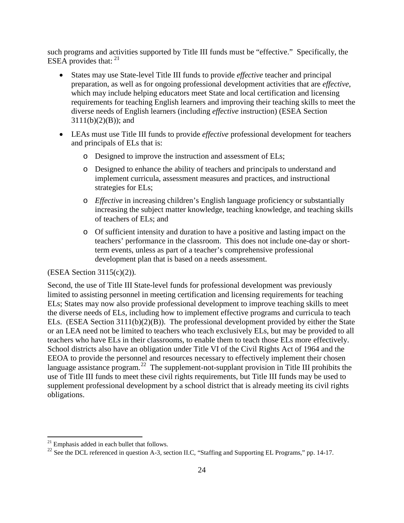such programs and activities supported by Title III funds must be "effective." Specifically, the ESEA provides that:  $21$ 

- States may use State-level Title III funds to provide *effective* teacher and principal preparation, as well as for ongoing professional development activities that are *effective*, which may include helping educators meet State and local certification and licensing requirements for teaching English learners and improving their teaching skills to meet the diverse needs of English learners (including *effective* instruction) (ESEA Section  $3111(b)(2)(B)$ ; and
- LEAs must use Title III funds to provide *effective* professional development for teachers and principals of ELs that is:
	- o Designed to improve the instruction and assessment of ELs;
	- o Designed to enhance the ability of teachers and principals to understand and implement curricula, assessment measures and practices, and instructional strategies for ELs;
	- o *Effective* in increasing children's English language proficiency or substantially increasing the subject matter knowledge, teaching knowledge, and teaching skills of teachers of ELs; and
	- o Of sufficient intensity and duration to have a positive and lasting impact on the teachers' performance in the classroom. This does not include one-day or shortterm events, unless as part of a teacher's comprehensive professional development plan that is based on a needs assessment.

# (ESEA Section 3115(c)(2)).

Second, the use of Title III State-level funds for professional development was previously limited to assisting personnel in meeting certification and licensing requirements for teaching ELs; States may now also provide professional development to improve teaching skills to meet the diverse needs of ELs, including how to implement effective programs and curricula to teach ELs. (ESEA Section 3111(b)(2)(B)). The professional development provided by either the State or an LEA need not be limited to teachers who teach exclusively ELs, but may be provided to all teachers who have ELs in their classrooms, to enable them to teach those ELs more effectively. School districts also have an obligation under Title VI of the Civil Rights Act of 1964 and the EEOA to provide the personnel and resources necessary to effectively implement their chosen language assistance program.<sup>22</sup> The supplement-not-supplant provision in Title III prohibits the use of Title III funds to meet these civil rights requirements, but Title III funds may be used to supplement professional development by a school district that is already meeting its civil rights obligations.

 $21$  Emphasis added in each bullet that follows.

<span id="page-23-1"></span><span id="page-23-0"></span><sup>&</sup>lt;sup>22</sup> See the DCL referenced in question A-3, section II.C, "Staffing and Supporting EL Programs," pp. 14-17.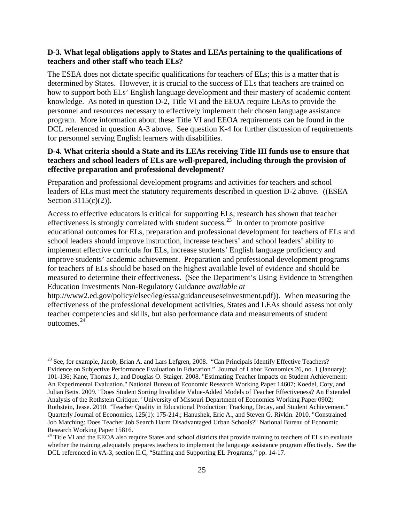#### **D-3. What legal obligations apply to States and LEAs pertaining to the qualifications of teachers and other staff who teach ELs?**

The ESEA does not dictate specific qualifications for teachers of ELs; this is a matter that is determined by States. However, it is crucial to the success of ELs that teachers are trained on how to support both ELs' English language development and their mastery of academic content knowledge. As noted in question D-2, Title VI and the EEOA require LEAs to provide the personnel and resources necessary to effectively implement their chosen language assistance program. More information about these Title VI and EEOA requirements can be found in the DCL referenced in question A-3 above. See question K-4 for further discussion of requirements for personnel serving English learners with disabilities.

#### **D-4. What criteria should a State and its LEAs receiving Title III funds use to ensure that teachers and school leaders of ELs are well-prepared, including through the provision of effective preparation and professional development?**

Preparation and professional development programs and activities for teachers and school leaders of ELs must meet the statutory requirements described in question D-2 above. ((ESEA Section 3115(c)(2)).

Access to effective educators is critical for supporting ELs; research has shown that teacher effectiveness is strongly correlated with student success.<sup>[23](#page-24-0)</sup> In order to promote positive educational outcomes for ELs, preparation and professional development for teachers of ELs and school leaders should improve instruction, increase teachers' and school leaders' ability to implement effective curricula for ELs, increase students' English language proficiency and improve students' academic achievement. Preparation and professional development programs for teachers of ELs should be based on the highest available level of evidence and should be measured to determine their effectiveness. (See the Department's Using Evidence to Strengthen Education Investments Non-Regulatory Guidance *available at*

http://www2.ed.gov/policy/elsec/leg/essa/guidanceuseseinvestment.pdf)). When measuring the effectiveness of the professional development activities, States and LEAs should assess not only teacher competencies and skills, but also performance data and measurements of student outcomes.<sup>24</sup>

<span id="page-24-0"></span><sup>&</sup>lt;sup>23</sup> See, for example, Jacob, Brian A. and Lars Lefgren, 2008. "Can Principals Identify Effective Teachers? Evidence on Subjective Performance Evaluation in Education." Journal of Labor Economics 26, no. 1 (January): 101-136; Kane, Thomas J., and Douglas O. Staiger. 2008. "Estimating Teacher Impacts on Student Achievement: An Experimental Evaluation." National Bureau of Economic Research Working Paper 14607; Koedel, Cory, and Julian Betts. 2009. "Does Student Sorting Invalidate Value-Added Models of Teacher Effectiveness? An Extended Analysis of the Rothstein Critique." University of Missouri Department of Economics Working Paper 0902; Rothstein, Jesse. 2010. "Teacher Quality in Educational Production: Tracking, Decay, and Student Achievement." Quarterly Journal of Economics, 125(1): 175-214.; Hanushek, Eric A., and Steven G. Rivkin. 2010. "Constrained Job Matching: Does Teacher Job Search Harm Disadvantaged Urban Schools?" National Bureau of Economic Research Working Paper 15816.

<span id="page-24-1"></span> $24$  Title VI and the EEOA also require States and school districts that provide training to teachers of ELs to evaluate whether the training adequately prepares teachers to implement the language assistance program effectively. See the DCL referenced in #A-3, section II.C, "Staffing and Supporting EL Programs," pp. 14-17.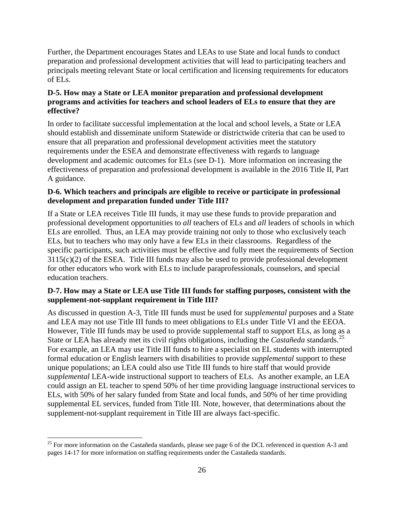Further, the Department encourages States and LEAs to use State and local funds to conduct preparation and professional development activities that will lead to participating teachers and principals meeting relevant State or local certification and licensing requirements for educators of ELs.

#### **D-5. How may a State or LEA monitor preparation and professional development programs and activities for teachers and school leaders of ELs to ensure that they are effective?**

In order to facilitate successful implementation at the local and school levels, a State or LEA should establish and disseminate uniform Statewide or districtwide criteria that can be used to ensure that all preparation and professional development activities meet the statutory requirements under the ESEA and demonstrate effectiveness with regards to language development and academic outcomes for ELs (see D-1). More information on increasing the effectiveness of preparation and professional development is available in the 2016 Title II, Part A guidance.

#### **D-6. Which teachers and principals are eligible to receive or participate in professional development and preparation funded under Title III?**

If a State or LEA receives Title III funds, it may use these funds to provide preparation and professional development opportunities to *all* teachers of ELs and *all* leaders of schools in which ELs are enrolled. Thus, an LEA may provide training not only to those who exclusively teach ELs, but to teachers who may only have a few ELs in their classrooms. Regardless of the specific participants, such activities must be effective and fully meet the requirements of Section 3115(c)(2) of the ESEA. Title III funds may also be used to provide professional development for other educators who work with ELs to include paraprofessionals, counselors, and special education teachers.

# **D-7. How may a State or LEA use Title III funds for staffing purposes, consistent with the supplement-not-supplant requirement in Title III?**

As discussed in question A-3, Title III funds must be used for *supplemental* purposes and a State and LEA may not use Title III funds to meet obligations to ELs under Title VI and the EEOA. However, Title III funds may be used to provide supplemental staff to support ELs, as long as a State or LEA has already met its civil rights obligations, including the *Castañeda* standards.[25](#page-25-0) For example, an LEA may use Title III funds to hire a specialist on EL students with interrupted formal education or English learners with disabilities to provide *supplemental* support to these unique populations; an LEA could also use Title III funds to hire staff that would provide *supplemental* LEA-wide instructional support to teachers of ELs. As another example, an LEA could assign an EL teacher to spend 50% of her time providing language instructional services to ELs, with 50% of her salary funded from State and local funds, and 50% of her time providing supplemental EL services, funded from Title III. Note, however, that determinations about the supplement-not-supplant requirement in Title III are always fact-specific.

<span id="page-25-0"></span><sup>&</sup>lt;sup>25</sup> For more information on the Castañeda standards, please see page 6 of the DCL referenced in question A-3 and pages 14-17 for more information on staffing requirements under the Castañeda standards.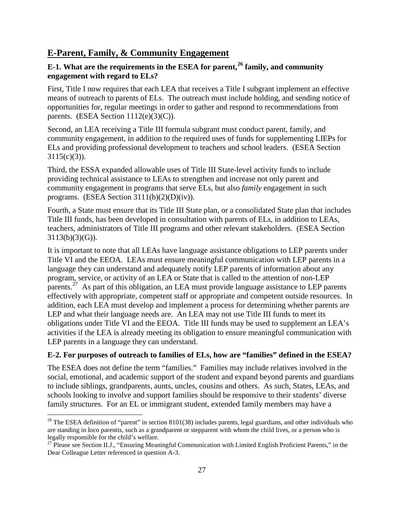# <span id="page-26-0"></span>**E-Parent, Family, & Community Engagement**

# **E-1. What are the requirements in the ESEA for parent, [26](#page-26-1) family, and community engagement with regard to ELs?**

First, Title I now requires that each LEA that receives a Title I subgrant implement an effective means of outreach to parents of ELs. The outreach must include holding, and sending notice of opportunities for, regular meetings in order to gather and respond to recommendations from parents. (ESEA Section  $1112(e)(3)(C)$ ).

Second, an LEA receiving a Title III formula subgrant must conduct parent, family, and community engagement, in addition to the required uses of funds for supplementing LIEPs for ELs and providing professional development to teachers and school leaders. (ESEA Section  $3115(c)(3)$ ).

Third, the ESSA expanded allowable uses of Title III State-level activity funds to include providing technical assistance to LEAs to strengthen and increase not only parent and community engagement in programs that serve ELs, but also *family* engagement in such programs. (ESEA Section  $3111(b)(2)(D)(iv)$ ).

Fourth, a State must ensure that its Title III State plan, or a consolidated State plan that includes Title III funds, has been developed in consultation with parents of ELs, in addition to LEAs, teachers, administrators of Title III programs and other relevant stakeholders. (ESEA Section 3113(b)(3)(G)).

It is important to note that all LEAs have language assistance obligations to LEP parents under Title VI and the EEOA. LEAs must ensure meaningful communication with LEP parents in a language they can understand and adequately notify LEP parents of information about any program, service, or activity of an LEA or State that is called to the attention of non-LEP parents.[27](#page-26-2) As part of this obligation, an LEA must provide language assistance to LEP parents effectively with appropriate, competent staff or appropriate and competent outside resources. In addition, each LEA must develop and implement a process for determining whether parents are LEP and what their language needs are. An LEA may not use Title III funds to meet its obligations under Title VI and the EEOA. Title III funds may be used to supplement an LEA's activities if the LEA is already meeting its obligation to ensure meaningful communication with LEP parents in a language they can understand.

#### **E-2. For purposes of outreach to families of ELs, how are "families" defined in the ESEA?**

The ESEA does not define the term "families." Families may include relatives involved in the social, emotional, and academic support of the student and expand beyond parents and guardians to include siblings, grandparents, aunts, uncles, cousins and others. As such, States, LEAs, and schools looking to involve and support families should be responsive to their students' diverse family structures. For an EL or immigrant student, extended family members may have a

<span id="page-26-1"></span> $26$  The ESEA definition of "parent" in section 8101(38) includes parents, legal guardians, and other individuals who are standing in loco parentis, such as a grandparent or stepparent with whom the child lives, or a person who is legally responsible for the child's welfare.

<span id="page-26-2"></span> $^{27}$  Please see Section II.J., "Ensuring Meaningful Communication with Limited English Proficient Parents," in the Dear Colleague Letter referenced in question A-3.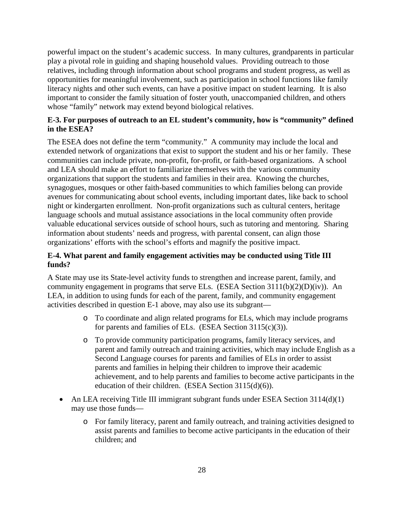powerful impact on the student's academic success. In many cultures, grandparents in particular play a pivotal role in guiding and shaping household values. Providing outreach to those relatives, including through information about school programs and student progress, as well as opportunities for meaningful involvement, such as participation in school functions like family literacy nights and other such events, can have a positive impact on student learning. It is also important to consider the family situation of foster youth, unaccompanied children, and others whose "family" network may extend beyond biological relatives.

# **E-3. For purposes of outreach to an EL student's community, how is "community" defined in the ESEA?**

The ESEA does not define the term "community." A community may include the local and extended network of organizations that exist to support the student and his or her family. These communities can include private, non-profit, for-profit, or faith-based organizations. A school and LEA should make an effort to familiarize themselves with the various community organizations that support the students and families in their area. Knowing the churches, synagogues, mosques or other faith-based communities to which families belong can provide avenues for communicating about school events, including important dates, like back to school night or kindergarten enrollment. Non-profit organizations such as cultural centers, heritage language schools and mutual assistance associations in the local community often provide valuable educational services outside of school hours, such as tutoring and mentoring. Sharing information about students' needs and progress, with parental consent, can align those organizations' efforts with the school's efforts and magnify the positive impact.

# **E-4. What parent and family engagement activities may be conducted using Title III funds?**

A State may use its State-level activity funds to strengthen and increase parent, family, and community engagement in programs that serve ELs. (ESEA Section 3111(b)(2)(D)(iv)). An LEA, in addition to using funds for each of the parent, family, and community engagement activities described in question E-1 above, may also use its subgrant—

- o To coordinate and align related programs for ELs, which may include programs for parents and families of ELs. (ESEA Section 3115(c)(3)).
- o To provide community participation programs, family literacy services, and parent and family outreach and training activities, which may include English as a Second Language courses for parents and families of ELs in order to assist parents and families in helping their children to improve their academic achievement, and to help parents and families to become active participants in the education of their children. (ESEA Section 3115(d)(6)).
- An LEA receiving Title III immigrant subgrant funds under ESEA Section 3114(d)(1) may use those funds
	- o For family literacy, parent and family outreach, and training activities designed to assist parents and families to become active participants in the education of their children; and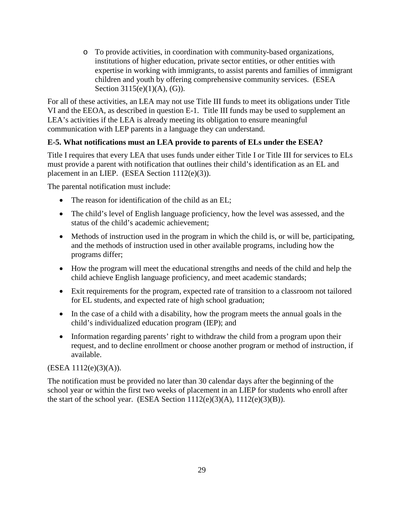o To provide activities, in coordination with community-based organizations, institutions of higher education, private sector entities, or other entities with expertise in working with immigrants, to assist parents and families of immigrant children and youth by offering comprehensive community services. (ESEA Section 3115(e)(1)(A), (G)).

For all of these activities, an LEA may not use Title III funds to meet its obligations under Title VI and the EEOA, as described in question E-1. Title III funds may be used to supplement an LEA's activities if the LEA is already meeting its obligation to ensure meaningful communication with LEP parents in a language they can understand.

# **E-5. What notifications must an LEA provide to parents of ELs under the ESEA?**

Title I requires that every LEA that uses funds under either Title I or Title III for services to ELs must provide a parent with notification that outlines their child's identification as an EL and placement in an LIEP. (ESEA Section 1112(e)(3)).

The parental notification must include:

- The reason for identification of the child as an EL;
- The child's level of English language proficiency, how the level was assessed, and the status of the child's academic achievement;
- Methods of instruction used in the program in which the child is, or will be, participating, and the methods of instruction used in other available programs, including how the programs differ;
- How the program will meet the educational strengths and needs of the child and help the child achieve English language proficiency, and meet academic standards;
- Exit requirements for the program, expected rate of transition to a classroom not tailored for EL students, and expected rate of high school graduation;
- In the case of a child with a disability, how the program meets the annual goals in the child's individualized education program (IEP); and
- Information regarding parents' right to withdraw the child from a program upon their request, and to decline enrollment or choose another program or method of instruction, if available.

# $(ESEA 1112(e)(3)(A)).$

The notification must be provided no later than 30 calendar days after the beginning of the school year or within the first two weeks of placement in an LIEP for students who enroll after the start of the school year. (ESEA Section  $1112(e)(3)(A)$ ,  $1112(e)(3)(B)$ ).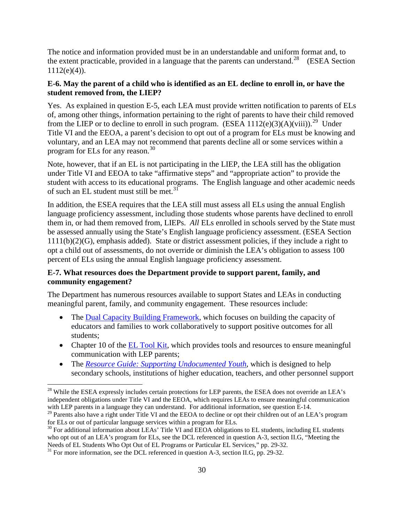The notice and information provided must be in an understandable and uniform format and, to the extent practicable, provided in a language that the parents can understand.<sup>[28](#page-29-0)</sup> (ESEA Section  $1112(e)(4)$ ).

#### **E-6. May the parent of a child who is identified as an EL decline to enroll in, or have the student removed from, the LIEP?**

Yes. As explained in question E-5, each LEA must provide written notification to parents of ELs of, among other things, information pertaining to the right of parents to have their child removed from the LIEP or to decline to enroll in such program. (ESEA  $1112(e)(3)(A)(viii)$ ).<sup>[29](#page-29-1)</sup> Under Title VI and the EEOA, a parent's decision to opt out of a program for ELs must be knowing and voluntary, and an LEA may not recommend that parents decline all or some services within a program for ELs for any reason.<sup>[30](#page-29-2)</sup>

Note, however, that if an EL is not participating in the LIEP, the LEA still has the obligation under Title VI and EEOA to take "affirmative steps" and "appropriate action" to provide the student with access to its educational programs. The English language and other academic needs of such an EL student must still be met.<sup>[31](#page-29-3)</sup>

In addition, the ESEA requires that the LEA still must assess all ELs using the annual English language proficiency assessment, including those students whose parents have declined to enroll them in, or had them removed from, LIEPs. *All* ELs enrolled in schools served by the State must be assessed annually using the State's English language proficiency assessment. (ESEA Section 1111(b)(2)(G), emphasis added). State or district assessment policies, if they include a right to opt a child out of assessments, do not override or diminish the LEA's obligation to assess 100 percent of ELs using the annual English language proficiency assessment.

# **E-7. What resources does the Department provide to support parent, family, and community engagement?**

The Department has numerous resources available to support States and LEAs in conducting meaningful parent, family, and community engagement. These resources include:

- The [Dual Capacity Building Framework,](http://www2.ed.gov/documents/family-community/frameworks-resources.pdf) which focuses on building the capacity of educators and families to work collaboratively to support positive outcomes for all students;
- Chapter 10 of the [EL Tool Kit,](http://www2.ed.gov/about/offices/list/oela/english-learner-toolkit/eltoolkit.pdf) which provides tools and resources to ensure meaningful communication with LEP parents;
- The *Resource [Guide: Supporting Undocumented Youth](http://www2.ed.gov/about/overview/focus/supporting-undocumented-youth.pdf)*, which is designed to help secondary schools, institutions of higher education, teachers, and other personnel support

<span id="page-29-0"></span><sup>&</sup>lt;sup>28</sup> While the ESEA expressly includes certain protections for LEP parents, the ESEA does not override an LEA's independent obligations under Title VI and the EEOA, which requires LEAs to ensure meaningful communication with LEP parents in a language they can understand. For additional information, see question E-14.

<span id="page-29-1"></span> $^{29}$  Parents also have a right under Title VI and the EEOA to decline or opt their children out of an LEA's program for ELs or out of particular language services within a program for ELs.

<span id="page-29-2"></span> $\frac{30}{30}$  For additional information about LEAs' Title VI and EEOA obligations to EL students, including EL students who opt out of an LEA's program for ELs, see the DCL referenced in question A-3, section II.G, "Meeting the Needs of EL Students Who Opt Out of EL Programs or Particular EL Services," pp. 29-32.

<span id="page-29-3"></span> $^{31}$  For more information, see the DCL referenced in question A-3, section II.G, pp. 29-32.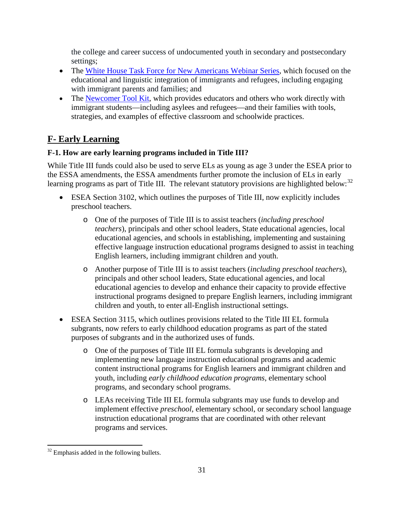<span id="page-30-0"></span>the college and career success of undocumented youth in secondary and postsecondary settings;

- The [White House Task Force for New Americans Webinar Series,](http://preview.ed.gov/about/offices/list/oela/webinars/new-americans/index.html) which focused on the educational and linguistic integration of immigrants and refugees, including engaging with immigrant parents and families; and
- The [Newcomer Tool](http://www2.ed.gov/about/offices/list/oela/new-comer-toolkit/ncomertoolkit.pdf) Kit, which provides educators and others who work directly with immigrant students—including asylees and refugees—and their families with tools, strategies, and examples of effective classroom and schoolwide practices.

# **F- Early Learning**

# **F-1. How are early learning programs included in Title III?**

While Title III funds could also be used to serve ELs as young as age 3 under the ESEA prior to the ESSA amendments, the ESSA amendments further promote the inclusion of ELs in early learning programs as part of Title III. The relevant statutory provisions are highlighted below:<sup>[32](#page-30-1)</sup>

- ESEA Section 3102, which outlines the purposes of Title III, now explicitly includes preschool teachers.
	- o One of the purposes of Title III is to assist teachers (*including preschool teachers*), principals and other school leaders, State educational agencies, local educational agencies, and schools in establishing, implementing and sustaining effective language instruction educational programs designed to assist in teaching English learners, including immigrant children and youth.
	- o Another purpose of Title III is to assist teachers (*including preschool teachers*), principals and other school leaders, State educational agencies, and local educational agencies to develop and enhance their capacity to provide effective instructional programs designed to prepare English learners, including immigrant children and youth, to enter all-English instructional settings.
- ESEA Section 3115, which outlines provisions related to the Title III EL formula subgrants, now refers to early childhood education programs as part of the stated purposes of subgrants and in the authorized uses of funds.
	- o One of the purposes of Title III EL formula subgrants is developing and implementing new language instruction educational programs and academic content instructional programs for English learners and immigrant children and youth, including *early childhood education programs*, elementary school programs, and secondary school programs.
	- o LEAs receiving Title III EL formula subgrants may use funds to develop and implement effective *preschool*, elementary school, or secondary school language instruction educational programs that are coordinated with other relevant programs and services.

<span id="page-30-1"></span> $32$  Emphasis added in the following bullets.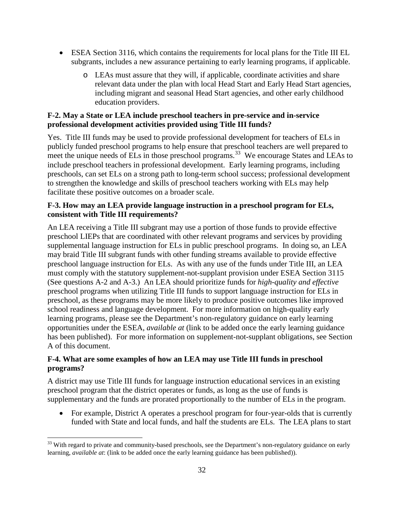- ESEA Section 3116, which contains the requirements for local plans for the Title III EL subgrants, includes a new assurance pertaining to early learning programs, if applicable.
	- o LEAs must assure that they will, if applicable, coordinate activities and share relevant data under the plan with local Head Start and Early Head Start agencies, including migrant and seasonal Head Start agencies, and other early childhood education providers.

# **F-2. May a State or LEA include preschool teachers in pre-service and in-service professional development activities provided using Title III funds?**

Yes. Title III funds may be used to provide professional development for teachers of ELs in publicly funded preschool programs to help ensure that preschool teachers are well prepared to meet the unique needs of ELs in those preschool programs.<sup>[33](#page-31-0)</sup> We encourage States and LEAs to include preschool teachers in professional development. Early learning programs, including preschools, can set ELs on a strong path to long-term school success; professional development to strengthen the knowledge and skills of preschool teachers working with ELs may help facilitate these positive outcomes on a broader scale.

# **F-3. How may an LEA provide language instruction in a preschool program for ELs, consistent with Title III requirements?**

An LEA receiving a Title III subgrant may use a portion of those funds to provide effective preschool LIEPs that are coordinated with other relevant programs and services by providing supplemental language instruction for ELs in public preschool programs. In doing so, an LEA may braid Title III subgrant funds with other funding streams available to provide effective preschool language instruction for ELs. As with any use of the funds under Title III, an LEA must comply with the statutory supplement-not-supplant provision under ESEA Section 3115 (See questions A-2 and A-3.) An LEA should prioritize funds for *high-quality and effective* preschool programs when utilizing Title III funds to support language instruction for ELs in preschool, as these programs may be more likely to produce positive outcomes like improved school readiness and language development. For more information on high-quality early learning programs, please see the Department's non-regulatory guidance on early learning opportunities under the ESEA, *available at* (link to be added once the early learning guidance has been published). For more information on supplement-not-supplant obligations, see Section A of this document.

# **F-4. What are some examples of how an LEA may use Title III funds in preschool programs?**

A district may use Title III funds for language instruction educational services in an existing preschool program that the district operates or funds, as long as the use of funds is supplementary and the funds are prorated proportionally to the number of ELs in the program.

• For example, District A operates a preschool program for four-year-olds that is currently funded with State and local funds, and half the students are ELs. The LEA plans to start

<span id="page-31-0"></span><sup>&</sup>lt;sup>33</sup> With regard to private and community-based preschools, see the Department's non-regulatory guidance on early learning, *available at*: (link to be added once the early learning guidance has been published)).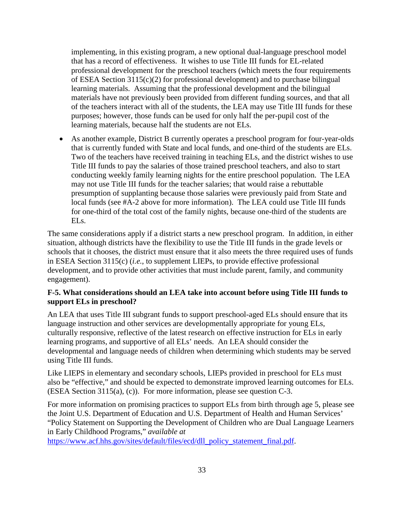implementing, in this existing program, a new optional dual-language preschool model that has a record of effectiveness. It wishes to use Title III funds for EL-related professional development for the preschool teachers (which meets the four requirements of ESEA Section 3115(c)(2) for professional development) and to purchase bilingual learning materials. Assuming that the professional development and the bilingual materials have not previously been provided from different funding sources, and that all of the teachers interact with all of the students, the LEA may use Title III funds for these purposes; however, those funds can be used for only half the per-pupil cost of the learning materials, because half the students are not ELs.

• As another example, District B currently operates a preschool program for four-year-olds that is currently funded with State and local funds, and one-third of the students are ELs. Two of the teachers have received training in teaching ELs, and the district wishes to use Title III funds to pay the salaries of those trained preschool teachers, and also to start conducting weekly family learning nights for the entire preschool population. The LEA may not use Title III funds for the teacher salaries; that would raise a rebuttable presumption of supplanting because those salaries were previously paid from State and local funds (see #A-2 above for more information). The LEA could use Title III funds for one-third of the total cost of the family nights, because one-third of the students are ELs.

The same considerations apply if a district starts a new preschool program. In addition, in either situation, although districts have the flexibility to use the Title III funds in the grade levels or schools that it chooses, the district must ensure that it also meets the three required uses of funds in ESEA Section 3115(c) (*i.e.*, to supplement LIEPs, to provide effective professional development, and to provide other activities that must include parent, family, and community engagement).

# **F-5. What considerations should an LEA take into account before using Title III funds to support ELs in preschool?**

An LEA that uses Title III subgrant funds to support preschool-aged ELs should ensure that its language instruction and other services are developmentally appropriate for young ELs, culturally responsive, reflective of the latest research on effective instruction for ELs in early learning programs, and supportive of all ELs' needs. An LEA should consider the developmental and language needs of children when determining which students may be served using Title III funds.

Like LIEPS in elementary and secondary schools, LIEPs provided in preschool for ELs must also be "effective," and should be expected to demonstrate improved learning outcomes for ELs. (ESEA Section 3115(a), (c)). For more information, please see question C-3.

For more information on promising practices to support ELs from birth through age 5, please see the Joint U.S. Department of Education and U.S. Department of Health and Human Services' "Policy Statement on Supporting the Development of Children who are Dual Language Learners in Early Childhood Programs," *available at*

[https://www.acf.hhs.gov/sites/default/files/ecd/dll\\_policy\\_statement\\_final.pdf.](https://www.acf.hhs.gov/sites/default/files/ecd/dll_policy_statement_final.pdf)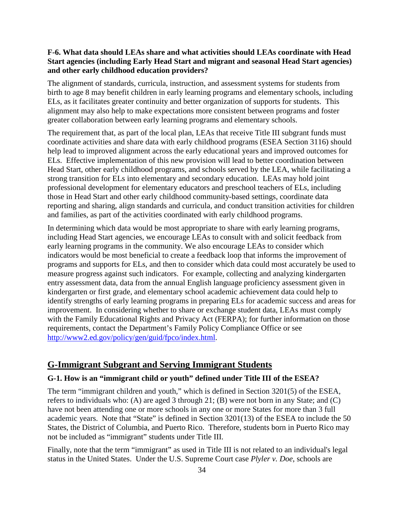#### **F-6. What data should LEAs share and what activities should LEAs coordinate with Head Start agencies (including Early Head Start and migrant and seasonal Head Start agencies) and other early childhood education providers?**

The alignment of standards, curricula, instruction, and assessment systems for students from birth to age 8 may benefit children in early learning programs and elementary schools, including ELs, as it facilitates greater continuity and better organization of supports for students. This alignment may also help to make expectations more consistent between programs and foster greater collaboration between early learning programs and elementary schools.

The requirement that, as part of the local plan, LEAs that receive Title III subgrant funds must coordinate activities and share data with early childhood programs (ESEA Section 3116) should help lead to improved alignment across the early educational years and improved outcomes for ELs. Effective implementation of this new provision will lead to better coordination between Head Start, other early childhood programs, and schools served by the LEA, while facilitating a strong transition for ELs into elementary and secondary education. LEAs may hold joint professional development for elementary educators and preschool teachers of ELs, including those in Head Start and other early childhood community-based settings, coordinate data reporting and sharing, align standards and curricula, and conduct transition activities for children and families, as part of the activities coordinated with early childhood programs.

In determining which data would be most appropriate to share with early learning programs, including Head Start agencies, we encourage LEAs to consult with and solicit feedback from early learning programs in the community. We also encourage LEAs to consider which indicators would be most beneficial to create a feedback loop that informs the improvement of programs and supports for ELs, and then to consider which data could most accurately be used to measure progress against such indicators. For example, collecting and analyzing kindergarten entry assessment data, data from the annual English language proficiency assessment given in kindergarten or first grade, and elementary school academic achievement data could help to identify strengths of early learning programs in preparing ELs for academic success and areas for improvement. In considering whether to share or exchange student data, LEAs must comply with the Family Educational Rights and Privacy Act (FERPA); for further information on those requirements, contact the Department's Family Policy Compliance Office or see [http://www2.ed.gov/policy/gen/guid/fpco/index.html.](http://www2.ed.gov/policy/gen/guid/fpco/index.html)

# <span id="page-33-0"></span>**G-Immigrant Subgrant and Serving Immigrant Students**

#### **G-1. How is an "immigrant child or youth" defined under Title III of the ESEA?**

The term "immigrant children and youth," which is defined in Section 3201(5) of the ESEA, refers to individuals who: (A) are aged 3 through 21; (B) were not born in any State; and (C) have not been attending one or more schools in any one or more States for more than 3 full academic years. Note that "State" is defined in Section 3201(13) of the ESEA to include the 50 States, the District of Columbia, and Puerto Rico. Therefore, students born in Puerto Rico may not be included as "immigrant" students under Title III.

Finally, note that the term "immigrant" as used in Title III is not related to an individual's legal status in the United States. Under the U.S. Supreme Court case *Plyler v. Doe*, schools are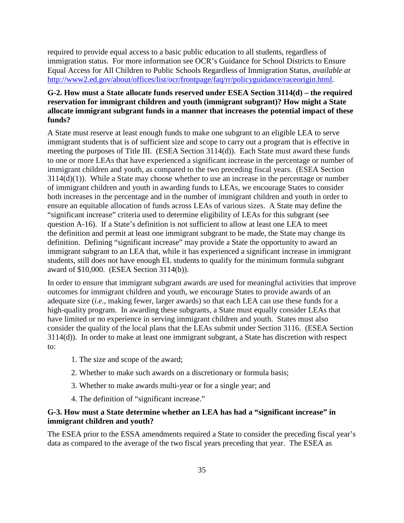required to provide equal access to a basic public education to all students, regardless of immigration status. For more information see OCR's Guidance for School Districts to Ensure Equal Access for All Children to Public Schools Regardless of Immigration Status, *available at* [http://www2.ed.gov/about/offices/list/ocr/frontpage/faq/rr/policyguidance/raceorigin.html.](http://www2.ed.gov/about/offices/list/ocr/frontpage/faq/rr/policyguidance/raceorigin.html)

# **G-2. How must a State allocate funds reserved under ESEA Section 3114(d) – the required reservation for immigrant children and youth (immigrant subgrant)? How might a State allocate immigrant subgrant funds in a manner that increases the potential impact of these funds?**

A State must reserve at least enough funds to make one subgrant to an eligible LEA to serve immigrant students that is of sufficient size and scope to carry out a program that is effective in meeting the purposes of Title III. (ESEA Section 3114(d)). Each State must award these funds to one or more LEAs that have experienced a significant increase in the percentage or number of immigrant children and youth, as compared to the two preceding fiscal years. (ESEA Section  $3114(d)(1)$ ). While a State may choose whether to use an increase in the percentage or number of immigrant children and youth in awarding funds to LEAs, we encourage States to consider both increases in the percentage and in the number of immigrant children and youth in order to ensure an equitable allocation of funds across LEAs of various sizes. A State may define the "significant increase" criteria used to determine eligibility of LEAs for this subgrant (see question A-16). If a State's definition is not sufficient to allow at least one LEA to meet the definition and permit at least one immigrant subgrant to be made, the State may change its definition. Defining "significant increase" may provide a State the opportunity to award an immigrant subgrant to an LEA that, while it has experienced a significant increase in immigrant students, still does not have enough EL students to qualify for the minimum formula subgrant award of \$10,000. (ESEA Section 3114(b)).

In order to ensure that immigrant subgrant awards are used for meaningful activities that improve outcomes for immigrant children and youth, we encourage States to provide awards of an adequate size (*i.e.*, making fewer, larger awards) so that each LEA can use these funds for a high-quality program. In awarding these subgrants, a State must equally consider LEAs that have limited or no experience in serving immigrant children and youth. States must also consider the quality of the local plans that the LEAs submit under Section 3116. (ESEA Section 3114(d)). In order to make at least one immigrant subgrant, a State has discretion with respect to:

- 1. The size and scope of the award;
- 2. Whether to make such awards on a discretionary or formula basis;
- 3. Whether to make awards multi-year or for a single year; and
- 4. The definition of "significant increase."

# **G-3. How must a State determine whether an LEA has had a "significant increase" in immigrant children and youth?**

The ESEA prior to the ESSA amendments required a State to consider the preceding fiscal year's data as compared to the average of the two fiscal years preceding that year. The ESEA as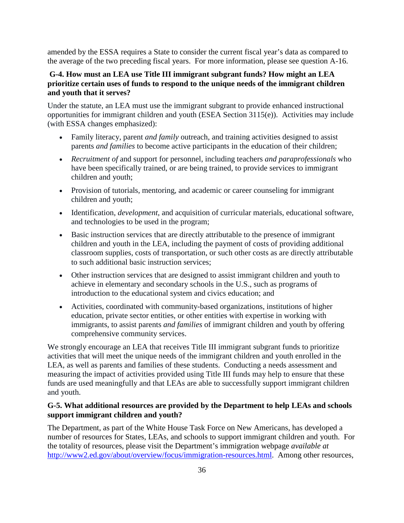amended by the ESSA requires a State to consider the current fiscal year's data as compared to the average of the two preceding fiscal years. For more information, please see question A-16.

# **G-4. How must an LEA use Title III immigrant subgrant funds? How might an LEA prioritize certain uses of funds to respond to the unique needs of the immigrant children and youth that it serves?**

Under the statute, an LEA must use the immigrant subgrant to provide enhanced instructional opportunities for immigrant children and youth (ESEA Section 3115(e)). Activities may include (with ESSA changes emphasized):

- Family literacy, parent *and family* outreach, and training activities designed to assist parents *and families* to become active participants in the education of their children;
- *Recruitment of* and support for personnel, including teachers *and paraprofessionals* who have been specifically trained, or are being trained, to provide services to immigrant children and youth;
- Provision of tutorials, mentoring, and academic or career counseling for immigrant children and youth;
- Identification, *development*, and acquisition of curricular materials, educational software, and technologies to be used in the program;
- Basic instruction services that are directly attributable to the presence of immigrant children and youth in the LEA, including the payment of costs of providing additional classroom supplies, costs of transportation, or such other costs as are directly attributable to such additional basic instruction services;
- Other instruction services that are designed to assist immigrant children and youth to achieve in elementary and secondary schools in the U.S., such as programs of introduction to the educational system and civics education; and
- Activities, coordinated with community-based organizations, institutions of higher education, private sector entities, or other entities with expertise in working with immigrants, to assist parents *and families* of immigrant children and youth by offering comprehensive community services.

We strongly encourage an LEA that receives Title III immigrant subgrant funds to prioritize activities that will meet the unique needs of the immigrant children and youth enrolled in the LEA, as well as parents and families of these students. Conducting a needs assessment and measuring the impact of activities provided using Title III funds may help to ensure that these funds are used meaningfully and that LEAs are able to successfully support immigrant children and youth.

# **G-5. What additional resources are provided by the Department to help LEAs and schools support immigrant children and youth?**

The Department, as part of the White House Task Force on New Americans, has developed a number of resources for States, LEAs, and schools to support immigrant children and youth. For the totality of resources, please visit the Department's immigration webpage *available at* [http://www2.ed.gov/about/overview/focus/immigration-resources.html.](http://www2.ed.gov/about/overview/focus/immigration-resources.html) Among other resources,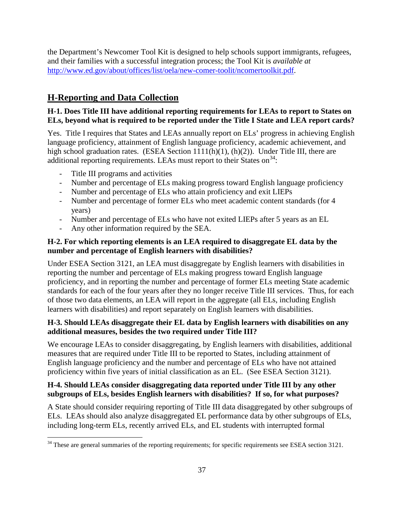the Department's Newcomer Tool Kit is designed to help schools support immigrants, refugees, and their families with a successful integration process; the Tool Kit is *available at* [http://www.ed.gov/about/offices/list/oela/new-comer-toolit/ncomertoolkit.pdf.](http://www.ed.gov/about/offices/list/oela/new-comer-toolit/ncomertoolkit.pdf)

# <span id="page-36-0"></span>**H-Reporting and Data Collection**

# **H-1. Does Title III have additional reporting requirements for LEAs to report to States on ELs, beyond what is required to be reported under the Title I State and LEA report cards?**

Yes. Title I requires that States and LEAs annually report on ELs' progress in achieving English language proficiency, attainment of English language proficiency, academic achievement, and high school graduation rates. (ESEA Section 1111(h)(1), (h)(2)). Under Title III, there are additional reporting requirements. LEAs must report to their States on  $34$ :

- Title III programs and activities
- Number and percentage of ELs making progress toward English language proficiency
- Number and percentage of ELs who attain proficiency and exit LIEPs
- Number and percentage of former ELs who meet academic content standards (for 4 years)
- Number and percentage of ELs who have not exited LIEPs after 5 years as an EL
- Any other information required by the SEA.

# **H-2. For which reporting elements is an LEA required to disaggregate EL data by the number and percentage of English learners with disabilities?**

Under ESEA Section 3121, an LEA must disaggregate by English learners with disabilities in reporting the number and percentage of ELs making progress toward English language proficiency, and in reporting the number and percentage of former ELs meeting State academic standards for each of the four years after they no longer receive Title III services. Thus, for each of those two data elements, an LEA will report in the aggregate (all ELs, including English learners with disabilities) and report separately on English learners with disabilities.

# **H-3. Should LEAs disaggregate their EL data by English learners with disabilities on any additional measures, besides the two required under Title III?**

We encourage LEAs to consider disaggregating, by English learners with disabilities, additional measures that are required under Title III to be reported to States, including attainment of English language proficiency and the number and percentage of ELs who have not attained proficiency within five years of initial classification as an EL. (See ESEA Section 3121).

# **H-4. Should LEAs consider disaggregating data reported under Title III by any other subgroups of ELs, besides English learners with disabilities? If so, for what purposes?**

A State should consider requiring reporting of Title III data disaggregated by other subgroups of ELs. LEAs should also analyze disaggregated EL performance data by other subgroups of ELs, including long-term ELs, recently arrived ELs, and EL students with interrupted formal

<span id="page-36-1"></span>l  $34$  These are general summaries of the reporting requirements; for specific requirements see ESEA section 3121.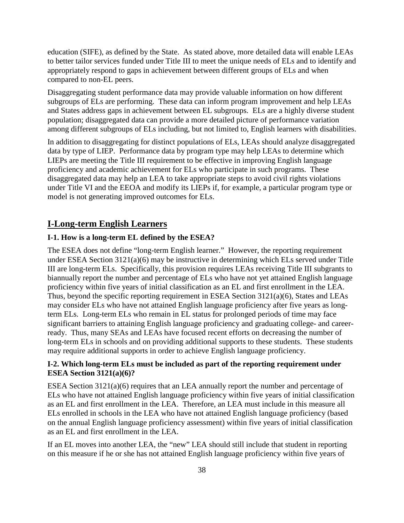education (SIFE), as defined by the State. As stated above, more detailed data will enable LEAs to better tailor services funded under Title III to meet the unique needs of ELs and to identify and appropriately respond to gaps in achievement between different groups of ELs and when compared to non-EL peers.

Disaggregating student performance data may provide valuable information on how different subgroups of ELs are performing. These data can inform program improvement and help LEAs and States address gaps in achievement between EL subgroups. ELs are a highly diverse student population; disaggregated data can provide a more detailed picture of performance variation among different subgroups of ELs including, but not limited to, English learners with disabilities.

In addition to disaggregating for distinct populations of ELs, LEAs should analyze disaggregated data by type of LIEP. Performance data by program type may help LEAs to determine which LIEPs are meeting the Title III requirement to be effective in improving English language proficiency and academic achievement for ELs who participate in such programs. These disaggregated data may help an LEA to take appropriate steps to avoid civil rights violations under Title VI and the EEOA and modify its LIEPs if, for example, a particular program type or model is not generating improved outcomes for ELs.

#### <span id="page-37-0"></span>**I-Long-term English Learners**

#### **I-1. How is a long-term EL defined by the ESEA?**

The ESEA does not define "long-term English learner." However, the reporting requirement under ESEA Section 3121(a)(6) may be instructive in determining which ELs served under Title III are long-term ELs. Specifically, this provision requires LEAs receiving Title III subgrants to biannually report the number and percentage of ELs who have not yet attained English language proficiency within five years of initial classification as an EL and first enrollment in the LEA. Thus, beyond the specific reporting requirement in ESEA Section 3121(a)(6), States and LEAs may consider ELs who have not attained English language proficiency after five years as longterm ELs. Long-term ELs who remain in EL status for prolonged periods of time may face significant barriers to attaining English language proficiency and graduating college- and careerready. Thus, many SEAs and LEAs have focused recent efforts on decreasing the number of long-term ELs in schools and on providing additional supports to these students. These students may require additional supports in order to achieve English language proficiency.

# **I-2. Which long-term ELs must be included as part of the reporting requirement under ESEA Section 3121(a)(6)?**

ESEA Section 3121(a)(6) requires that an LEA annually report the number and percentage of ELs who have not attained English language proficiency within five years of initial classification as an EL and first enrollment in the LEA. Therefore, an LEA must include in this measure all ELs enrolled in schools in the LEA who have not attained English language proficiency (based on the annual English language proficiency assessment) within five years of initial classification as an EL and first enrollment in the LEA.

If an EL moves into another LEA, the "new" LEA should still include that student in reporting on this measure if he or she has not attained English language proficiency within five years of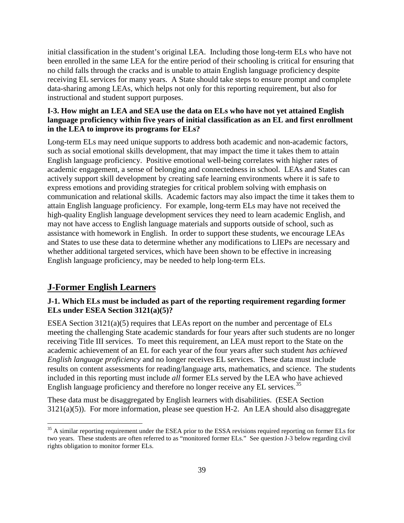initial classification in the student's original LEA. Including those long-term ELs who have not been enrolled in the same LEA for the entire period of their schooling is critical for ensuring that no child falls through the cracks and is unable to attain English language proficiency despite receiving EL services for many years. A State should take steps to ensure prompt and complete data-sharing among LEAs, which helps not only for this reporting requirement, but also for instructional and student support purposes.

# **I-3. How might an LEA and SEA use the data on ELs who have not yet attained English language proficiency within five years of initial classification as an EL and first enrollment in the LEA to improve its programs for ELs?**

Long-term ELs may need unique supports to address both academic and non-academic factors, such as social emotional skills development, that may impact the time it takes them to attain English language proficiency. Positive emotional well-being correlates with higher rates of academic engagement, a sense of belonging and connectedness in school. LEAs and States can actively support skill development by creating safe learning environments where it is safe to express emotions and providing strategies for critical problem solving with emphasis on communication and relational skills. Academic factors may also impact the time it takes them to attain English language proficiency. For example, long-term ELs may have not received the high-quality English language development services they need to learn academic English, and may not have access to English language materials and supports outside of school, such as assistance with homework in English. In order to support these students, we encourage LEAs and States to use these data to determine whether any modifications to LIEPs are necessary and whether additional targeted services, which have been shown to be effective in increasing English language proficiency, may be needed to help long-term ELs.

# <span id="page-38-0"></span>**J-Former English Learners**

#### **J-1. Which ELs must be included as part of the reporting requirement regarding former ELs under ESEA Section 3121(a)(5)?**

ESEA Section 3121(a)(5) requires that LEAs report on the number and percentage of ELs meeting the challenging State academic standards for four years after such students are no longer receiving Title III services. To meet this requirement, an LEA must report to the State on the academic achievement of an EL for each year of the four years after such student *has achieved English language proficiency* and no longer receives EL services. These data must include results on content assessments for reading/language arts, mathematics, and science. The students included in this reporting must include *all* former ELs served by the LEA who have achieved English language proficiency and therefore no longer receive any EL services.<sup>[35](#page-38-1)</sup>

These data must be disaggregated by English learners with disabilities. (ESEA Section 3121(a)(5)). For more information, please see question H-2. An LEA should also disaggregate

<span id="page-38-1"></span><sup>&</sup>lt;sup>35</sup> A similar reporting requirement under the ESEA prior to the ESSA revisions required reporting on former ELs for two years. These students are often referred to as "monitored former ELs." See question J-3 below regarding civil rights obligation to monitor former ELs.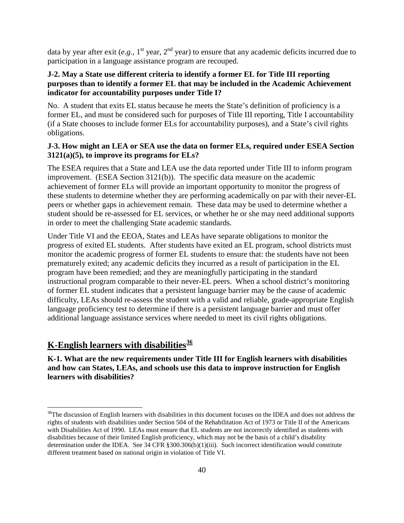data by year after exit (*e.g.*,  $1^{st}$  year,  $2^{nd}$  year) to ensure that any academic deficits incurred due to participation in a language assistance program are recouped.

#### **J-2. May a State use different criteria to identify a former EL for Title III reporting purposes than to identify a former EL that may be included in the Academic Achievement indicator for accountability purposes under Title I?**

No. A student that exits EL status because he meets the State's definition of proficiency is a former EL, and must be considered such for purposes of Title III reporting, Title I accountability (if a State chooses to include former ELs for accountability purposes), and a State's civil rights obligations.

#### **J-3. How might an LEA or SEA use the data on former ELs, required under ESEA Section 3121(a)(5), to improve its programs for ELs?**

The ESEA requires that a State and LEA use the data reported under Title III to inform program improvement. (ESEA Section 3121(b)). The specific data measure on the academic achievement of former ELs will provide an important opportunity to monitor the progress of these students to determine whether they are performing academically on par with their never-EL peers or whether gaps in achievement remain. These data may be used to determine whether a student should be re-assessed for EL services, or whether he or she may need additional supports in order to meet the challenging State academic standards.

Under Title VI and the EEOA, States and LEAs have separate obligations to monitor the progress of exited EL students. After students have exited an EL program, school districts must monitor the academic progress of former EL students to ensure that: the students have not been prematurely exited; any academic deficits they incurred as a result of participation in the EL program have been remedied; and they are meaningfully participating in the standard instructional program comparable to their never-EL peers. When a school district's monitoring of former EL student indicates that a persistent language barrier may be the cause of academic difficulty, LEAs should re-assess the student with a valid and reliable, grade-appropriate English language proficiency test to determine if there is a persistent language barrier and must offer additional language assistance services where needed to meet its civil rights obligations.

# <span id="page-39-0"></span>**K-English learners with disabilities[36](#page-39-1)**

**K-1. What are the new requirements under Title III for English learners with disabilities and how can States, LEAs, and schools use this data to improve instruction for English learners with disabilities?**

<span id="page-39-1"></span><sup>&</sup>lt;sup>36</sup>The discussion of English learners with disabilities in this document focuses on the IDEA and does not address the rights of students with disabilities under Section 504 of the Rehabilitation Act of 1973 or Title II of the Americans with Disabilities Act of 1990. LEAs must ensure that EL students are not incorrectly identified as students with disabilities because of their limited English proficiency, which may not be the basis of a child's disability determination under the IDEA. See 34 CFR §300.306(b)(1)(iii). Such incorrect identification would constitute different treatment based on national origin in violation of Title VI.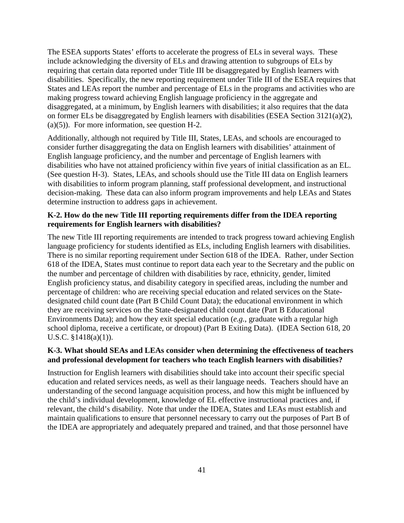The ESEA supports States' efforts to accelerate the progress of ELs in several ways. These include acknowledging the diversity of ELs and drawing attention to subgroups of ELs by requiring that certain data reported under Title III be disaggregated by English learners with disabilities. Specifically, the new reporting requirement under Title III of the ESEA requires that States and LEAs report the number and percentage of ELs in the programs and activities who are making progress toward achieving English language proficiency in the aggregate and disaggregated, at a minimum, by English learners with disabilities; it also requires that the data on former ELs be disaggregated by English learners with disabilities (ESEA Section 3121(a)(2),  $(a)(5)$ ). For more information, see question H-2.

Additionally, although not required by Title III, States, LEAs, and schools are encouraged to consider further disaggregating the data on English learners with disabilities' attainment of English language proficiency, and the number and percentage of English learners with disabilities who have not attained proficiency within five years of initial classification as an EL. (See question H-3). States, LEAs, and schools should use the Title III data on English learners with disabilities to inform program planning, staff professional development, and instructional decision-making. These data can also inform program improvements and help LEAs and States determine instruction to address gaps in achievement.

#### **K-2. How do the new Title III reporting requirements differ from the IDEA reporting requirements for English learners with disabilities?**

The new Title III reporting requirements are intended to track progress toward achieving English language proficiency for students identified as ELs, including English learners with disabilities. There is no similar reporting requirement under Section 618 of the IDEA. Rather, under Section 618 of the IDEA, States must continue to report data each year to the Secretary and the public on the number and percentage of children with disabilities by race, ethnicity, gender, limited English proficiency status, and disability category in specified areas, including the number and percentage of children: who are receiving special education and related services on the Statedesignated child count date (Part B Child Count Data); the educational environment in which they are receiving services on the State-designated child count date (Part B Educational Environments Data); and how they exit special education (*e.g.*, graduate with a regular high school diploma, receive a certificate, or dropout) (Part B Exiting Data). (IDEA Section 618, 20 U.S.C. §1418(a)(1)).

#### **K-3. What should SEAs and LEAs consider when determining the effectiveness of teachers and professional development for teachers who teach English learners with disabilities?**

Instruction for English learners with disabilities should take into account their specific special education and related services needs, as well as their language needs. Teachers should have an understanding of the second language acquisition process, and how this might be influenced by the child's individual development, knowledge of EL effective instructional practices and, if relevant, the child's disability. Note that under the IDEA, States and LEAs must establish and maintain qualifications to ensure that personnel necessary to carry out the purposes of Part B of the IDEA are appropriately and adequately prepared and trained, and that those personnel have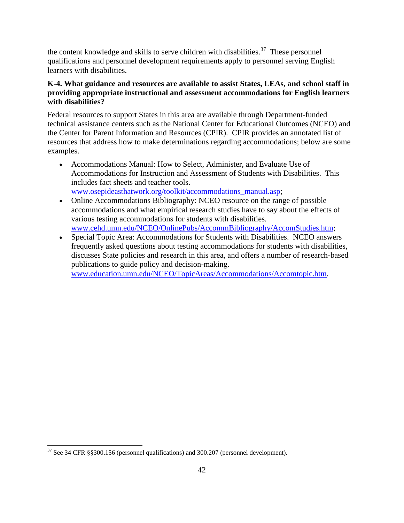the content knowledge and skills to serve children with disabilities.<sup>[37](#page-41-1)</sup> These personnel qualifications and personnel development requirements apply to personnel serving English learners with disabilities.

# **K-4. What guidance and resources are available to assist States, LEAs, and school staff in providing appropriate instructional and assessment accommodations for English learners with disabilities?**

Federal resources to support States in this area are available through Department-funded technical assistance centers such as the National Center for Educational Outcomes (NCEO) and the Center for Parent Information and Resources (CPIR). CPIR provides an annotated list of resources that address how to make determinations regarding accommodations; below are some examples.

- Accommodations Manual: How to Select, Administer, and Evaluate Use of Accommodations for Instruction and Assessment of Students with Disabilities. This includes fact sheets and teacher tools. [www.osepideasthatwork.org/toolkit/accommodations\\_manual.asp;](http://www.osepideasthatwork.org/toolkit/accommodations_manual.asp)
- Online Accommodations Bibliography: NCEO resource on the range of possible accommodations and what empirical research studies have to say about the effects of various testing accommodations for students with disabilities. [www.cehd.umn.edu/NCEO/OnlinePubs/AccommBibliography/AccomStudies.htm;](http://www.cehd.umn.edu/NCEO/OnlinePubs/AccommBibliography/AccomStudies.htm)
- <span id="page-41-0"></span>• Special Topic Area: Accommodations for Students with Disabilities. NCEO answers frequently asked questions about testing accommodations for students with disabilities, discusses State policies and research in this area, and offers a number of research-based publications to guide policy and decision-making. [www.education.umn.edu/NCEO/TopicAreas/Accommodations/Accomtopic.htm.](http://www.education.umn.edu/NCEO/TopicAreas/Accommodations/Accomtopic.htm)

<span id="page-41-1"></span> $37$  See 34 CFR §§300.156 (personnel qualifications) and 300.207 (personnel development).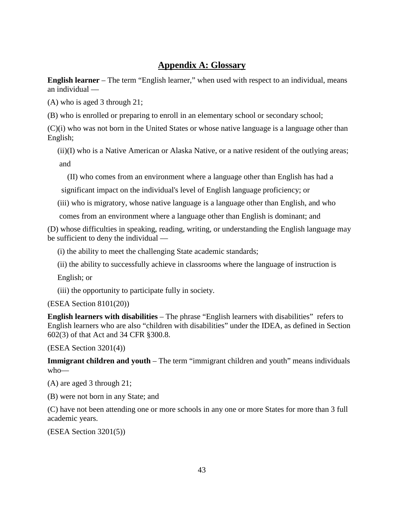# **Appendix A: Glossary**

**English learner** – The term "English learner," when used with respect to an individual, means an individual —

(A) who is aged 3 through 21;

(B) who is enrolled or preparing to enroll in an elementary school or secondary school;

(C)(i) who was not born in the United States or whose native language is a language other than English;

 (ii)(I) who is a Native American or Alaska Native, or a native resident of the outlying areas; and

(II) who comes from an environment where a language other than English has had a

significant impact on the individual's level of English language proficiency; or

(iii) who is migratory, whose native language is a language other than English, and who

comes from an environment where a language other than English is dominant; and

(D) whose difficulties in speaking, reading, writing, or understanding the English language may be sufficient to deny the individual —

(i) the ability to meet the challenging State academic standards;

(ii) the ability to successfully achieve in classrooms where the language of instruction is

English; or

(iii) the opportunity to participate fully in society.

(ESEA Section 8101(20))

**English learners with disabilities** – The phrase "English learners with disabilities" refers to English learners who are also "children with disabilities" under the IDEA, as defined in Section 602(3) of that Act and 34 CFR §300.8.

(ESEA Section 3201(4))

**Immigrant children and youth** – The term "immigrant children and youth" means individuals who—

(A) are aged 3 through 21;

(B) were not born in any State; and

(C) have not been attending one or more schools in any one or more States for more than 3 full academic years.

(ESEA Section 3201(5))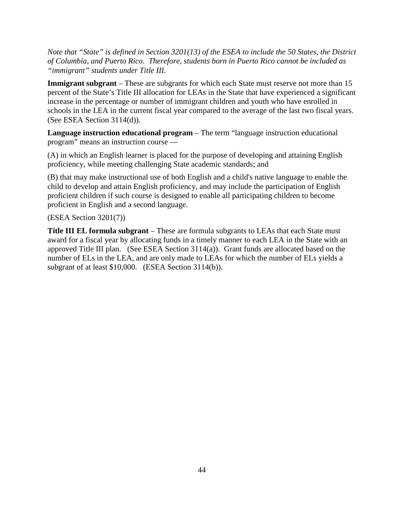*Note that "State" is defined in Section 3201(13) of the ESEA to include the 50 States, the District of Columbia, and Puerto Rico. Therefore, students born in Puerto Rico cannot be included as "immigrant" students under Title III.*

**Immigrant subgrant** – These are subgrants for which each State must reserve not more than 15 percent of the State's Title III allocation for LEAs in the State that have experienced a significant increase in the percentage or number of immigrant children and youth who have enrolled in schools in the LEA in the current fiscal year compared to the average of the last two fiscal years. (See ESEA Section 3114(d)).

**Language instruction educational program** – The term "language instruction educational program" means an instruction course —

(A) in which an English learner is placed for the purpose of developing and attaining English proficiency, while meeting challenging State academic standards; and

(B) that may make instructional use of both English and a child's native language to enable the child to develop and attain English proficiency, and may include the participation of English proficient children if such course is designed to enable all participating children to become proficient in English and a second language.

# (ESEA Section 3201(7))

**Title III EL formula subgrant** – These are formula subgrants to LEAs that each State must award for a fiscal year by allocating funds in a timely manner to each LEA in the State with an approved Title III plan. (See ESEA Section 3114(a)). Grant funds are allocated based on the number of ELs in the LEA, and are only made to LEAs for which the number of ELs yields a subgrant of at least \$10,000. (ESEA Section 3114(b)).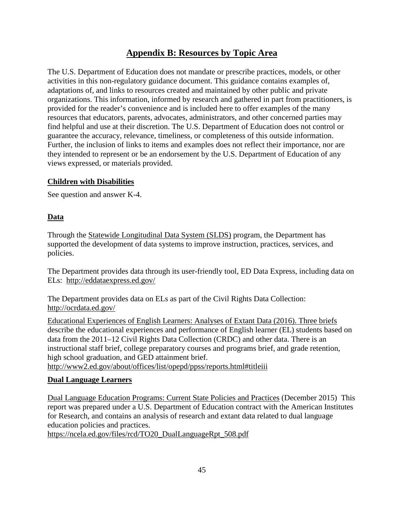# **Appendix B: Resources by Topic Area**

<span id="page-44-0"></span>The U.S. Department of Education does not mandate or prescribe practices, models, or other activities in this non-regulatory guidance document. This guidance contains examples of, adaptations of, and links to resources created and maintained by other public and private organizations. This information, informed by research and gathered in part from practitioners, is provided for the reader's convenience and is included here to offer examples of the many resources that educators, parents, advocates, administrators, and other concerned parties may find helpful and use at their discretion. The U.S. Department of Education does not control or guarantee the accuracy, relevance, timeliness, or completeness of this outside information. Further, the inclusion of links to items and examples does not reflect their importance, nor are they intended to represent or be an endorsement by the U.S. Department of Education of any views expressed, or materials provided.

#### **Children with Disabilities**

See question and answer K-4.

# **Data**

Through the [Statewide Longitudinal Data System \(SLDS\)](http://nces.ed.gov/programs/slds/) program, the Department has supported the development of data systems to improve instruction, practices, services, and policies.

The Department provides data through its user-friendly tool, ED Data Express, including data on ELs: <http://eddataexpress.ed.gov/>

The Department provides data on ELs as part of the Civil Rights Data Collection: <http://ocrdata.ed.gov/>

Educational Experiences of English Learners: Analyses of Extant Data (2016). Three briefs describe the educational experiences and performance of English learner (EL) students based on data from the 2011–12 Civil Rights Data Collection (CRDC) and other data. There is an instructional staff brief, college preparatory courses and programs brief, and grade retention, high school graduation, and GED attainment brief. <http://www2.ed.gov/about/offices/list/opepd/ppss/reports.html#titleiii>

#### **Dual Language Learners**

Dual Language Education Programs: Current State Policies and Practices (December 2015) This report was prepared under a U.S. Department of Education contract with the American Institutes for Research, and contains an analysis of research and extant data related to dual language education policies and practices.

[https://ncela.ed.gov/files/rcd/TO20\\_DualLanguageRpt\\_508.pdf](https://ncela.ed.gov/files/rcd/TO20_DualLanguageRpt_508.pdf)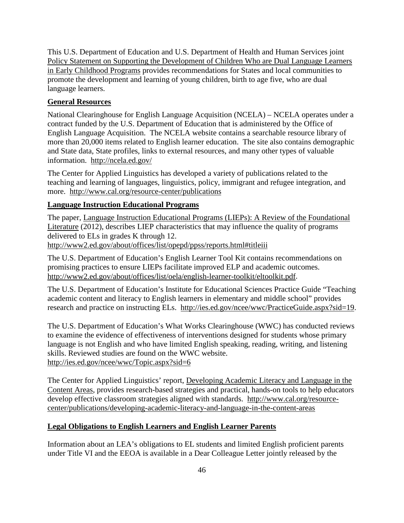This [U.S. Department of Education and U.S. Department of Health and Human Services joint](https://www.acf.hhs.gov/sites/default/files/ecd/dll_policy_statement_final.pdf)  [Policy Statement on Supporting the Development of Children Who are Dual Language Learners](https://www.acf.hhs.gov/sites/default/files/ecd/dll_policy_statement_final.pdf)  [in Early Childhood Programs](https://www.acf.hhs.gov/sites/default/files/ecd/dll_policy_statement_final.pdf) provides recommendations for States and local communities to promote the development and learning of young children, birth to age five, who are dual language learners.

# **General Resources**

National Clearinghouse for English Language Acquisition (NCELA) – NCELA operates under a contract funded by the U.S. Department of Education that is administered by the Office of English Language Acquisition. The NCELA website contains a searchable resource library of more than 20,000 items related to English learner education. The site also contains demographic and State data, State profiles, links to external resources, and many other types of valuable information. http://ncela.ed.gov/

The Center for Applied Linguistics has developed a variety of publications related to the teaching and learning of languages, linguistics, policy, immigrant and refugee integration, and more. <http://www.cal.org/resource-center/publications>

# **Language Instruction Educational Programs**

The paper, Language Instruction Educational Programs (LIEPs): A Review of the Foundational Literature (2012), describes LIEP characteristics that may influence the quality of programs delivered to ELs in grades K through 12. <http://www2.ed.gov/about/offices/list/opepd/ppss/reports.html#titleiii>

The U.S. Department of Education's English Learner Tool Kit contains recommendations on promising practices to ensure LIEPs facilitate improved ELP and academic outcomes. [http://www2.ed.gov/about/offices/list/oela/english-learner-toolkit/eltoolkit.pdf.](http://www2.ed.gov/about/offices/list/oela/english-learner-toolkit/eltoolkit.pdf)

The U.S. Department of Education's Institute for Educational Sciences Practice Guide "Teaching academic content and literacy to English learners in elementary and middle school" provides research and practice on instructing ELs. [http://ies.ed.gov/ncee/wwc/PracticeGuide.aspx?sid=19.](http://ies.ed.gov/ncee/wwc/PracticeGuide.aspx?sid=19)

The U.S. Department of Education's What Works Clearinghouse (WWC) has conducted reviews to examine the evidence of effectiveness of interventions designed for students whose primary language is not English and who have limited English speaking, reading, writing, and listening skills. Reviewed studies are found on the WWC website. <http://ies.ed.gov/ncee/wwc/Topic.aspx?sid=6>

The Center for Applied Linguistics' report, Developing Academic Literacy and Language in the Content Areas, provides research-based strategies and practical, hands-on tools to help educators develop effective classroom strategies aligned with standards. [http://www.cal.org/resource](http://www.cal.org/resource-center/publications/developing-academic-literacy-and-language-in-the-content-areas)[center/publications/developing-academic-literacy-and-language-in-the-content-areas](http://www.cal.org/resource-center/publications/developing-academic-literacy-and-language-in-the-content-areas)

# **Legal Obligations to English Learners and English Learner Parents**

Information about an LEA's obligations to EL students and limited English proficient parents under Title VI and the EEOA is available in a Dear Colleague Letter jointly released by the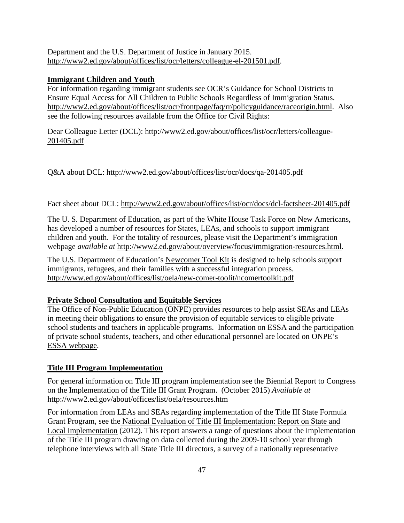Department and the U.S. Department of Justice in January 2015. [http://www2.ed.gov/about/offices/list/ocr/letters/colleague-el-201501.pdf.](http://www2.ed.gov/about/offices/list/ocr/letters/colleague-el-201501.pdf)

#### **Immigrant Children and Youth**

For information regarding immigrant students see OCR's Guidance for School Districts to Ensure Equal Access for All Children to Public Schools Regardless of Immigration Status. [http://www2.ed.gov/about/offices/list/ocr/frontpage/faq/rr/policyguidance/raceorigin.html.](http://www2.ed.gov/about/offices/list/ocr/frontpage/faq/rr/policyguidance/raceorigin.html) Also see the following resources available from the Office for Civil Rights:

Dear Colleague Letter (DCL): [http://www2.ed.gov/about/offices/list/ocr/letters/colleague-](http://www2.ed.gov/about/offices/list/ocr/letters/colleague-201405.pdf)[201405.pdf](http://www2.ed.gov/about/offices/list/ocr/letters/colleague-201405.pdf)

Q&A about DCL:<http://www2.ed.gov/about/offices/list/ocr/docs/qa-201405.pdf>

#### Fact sheet about DCL:<http://www2.ed.gov/about/offices/list/ocr/docs/dcl-factsheet-201405.pdf>

The U. S. Department of Education, as part of the White House Task Force on New Americans, has developed a number of resources for States, LEAs, and schools to support immigrant children and youth. For the totality of resources, please visit the Department's immigration webpage *available at* [http://www2.ed.gov/about/overview/focus/immigration-resources.html.](http://www2.ed.gov/about/overview/focus/immigration-resources.html)

The U.S. Department of Education's Newcomer Tool Kit is designed to help schools support immigrants, refugees, and their families with a successful integration process. <http://www.ed.gov/about/offices/list/oela/new-comer-toolit/ncomertoolkit.pdf>

#### **Private School Consultation and Equitable Services**

[The Office of Non-Public Education](http://www2.ed.gov/about/offices/list/oii/nonpublic/index.html) (ONPE) provides resources to help assist SEAs and LEAs in meeting their obligations to ensure the provision of equitable services to eligible private school students and teachers in applicable programs. Information on ESSA and the participation of private school students, teachers, and other educational personnel are located on [ONPE's](http://innovation.ed.gov/what-we-do/non-public-education/essa/)  [ESSA webpage.](http://innovation.ed.gov/what-we-do/non-public-education/essa/)

#### **Title III Program Implementation**

For general information on Title III program implementation see the Biennial Report to Congress on the Implementation of the Title III Grant Program. (October 2015) *Available at* <http://www2.ed.gov/about/offices/list/oela/resources.htm>

For information from LEAs and SEAs regarding implementation of the Title III State Formula Grant Program, see the National Evaluation of Title III Implementation: Report on State and Local Implementation (2012). This report answers a range of questions about the implementation of the Title III program drawing on data collected during the 2009-10 school year through telephone interviews with all State Title III directors, a survey of a nationally representative